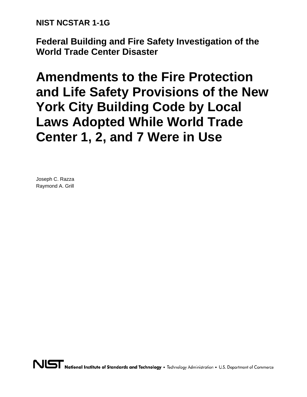**NIST NCSTAR 1-1G**

**Federal Building and Fire Safety Investigation of the World Trade Center Disaster** 

# **Amendments to the Fire Protection and Life Safety Provisions of the New York City Building Code by Local Laws Adopted While World Trade Center 1, 2, and 7 Were in Use**

Joseph C. Razza Raymond A. Grill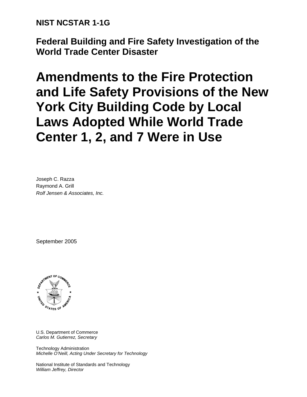**NIST NCSTAR 1-1G** 

**Federal Building and Fire Safety Investigation of the World Trade Center Disaster** 

# **Amendments to the Fire Protection and Life Safety Provisions of the New York City Building Code by Local Laws Adopted While World Trade Center 1, 2, and 7 Were in Use**

Joseph C. Razza Raymond A. Grill *Rolf Jensen & Associates, Inc.* 

September 2005



U.S. Department of Commerce *Carlos M. Gutierrez, Secretary* 

Technology Administration *Michelle O'Neill, Acting Under Secretary for Technology*

National Institute of Standards and Technology *William Jeffrey, Director*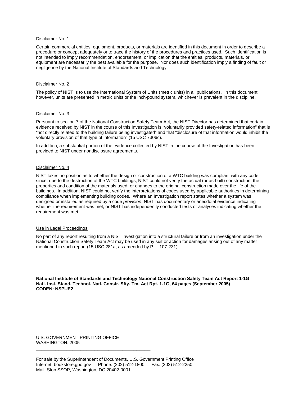#### Disclaimer No. 1

Certain commercial entities, equipment, products, or materials are identified in this document in order to describe a procedure or concept adequately or to trace the history of the procedures and practices used. Such identification is not intended to imply recommendation, endorsement, or implication that the entities, products, materials, or equipment are necessarily the best available for the purpose. Nor does such identification imply a finding of fault or negligence by the National Institute of Standards and Technology.

#### Disclaimer No. 2

The policy of NIST is to use the International System of Units (metric units) in all publications. In this document, however, units are presented in metric units or the inch-pound system, whichever is prevalent in the discipline.

#### Disclaimer No. 3

Pursuant to section 7 of the National Construction Safety Team Act, the NIST Director has determined that certain evidence received by NIST in the course of this Investigation is "voluntarily provided safety-related information" that is "not directly related to the building failure being investigated" and that "disclosure of that information would inhibit the voluntary provision of that type of information" (15 USC 7306c).

In addition, a substantial portion of the evidence collected by NIST in the course of the Investigation has been provided to NIST under nondisclosure agreements.

#### Disclaimer No. 4

NIST takes no position as to whether the design or construction of a WTC building was compliant with any code since, due to the destruction of the WTC buildings, NIST could not verify the actual (or as-built) construction, the properties and condition of the materials used, or changes to the original construction made over the life of the buildings. In addition, NIST could not verify the interpretations of codes used by applicable authorities in determining compliance when implementing building codes. Where an Investigation report states whether a system was designed or installed as required by a code *provision*, NIST has documentary or anecdotal evidence indicating whether the requirement was met, or NIST has independently conducted tests or analyses indicating whether the requirement was met.

#### Use in Legal Proceedings

No part of any report resulting from a NIST investigation into a structural failure or from an investigation under the National Construction Safety Team Act may be used in any suit or action for damages arising out of any matter mentioned in such report (15 USC 281a; as amended by P.L. 107-231).

**National Institute of Standards and Technology National Construction Safety Team Act Report 1-1G Natl. Inst. Stand. Technol. Natl. Constr. Sfty. Tm. Act Rpt. 1-1G, 64 pages (September 2005) CODEN: NSPUE2** 

U.S. GOVERNMENT PRINTING OFFICE WASHINGTON: 2005

**\_\_\_\_\_\_\_\_\_\_\_\_\_\_\_\_\_\_\_\_\_\_\_\_\_\_\_\_\_\_\_\_\_\_\_\_\_\_\_\_\_** 

For sale by the Superintendent of Documents, U.S. Government Printing Office Internet: bookstore.gpo.gov — Phone: (202) 512-1800 — Fax: (202) 512-2250 Mail: Stop SSOP, Washington, DC 20402-0001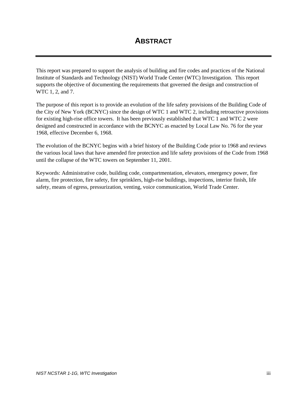### **ABSTRACT**

This report was prepared to support the analysis of building and fire codes and practices of the National Institute of Standards and Technology (NIST) World Trade Center (WTC) Investigation. This report supports the objective of documenting the requirements that governed the design and construction of WTC 1, 2, and 7.

The purpose of this report is to provide an evolution of the life safety provisions of the Building Code of the City of New York (BCNYC) since the design of WTC 1 and WTC 2, including retroactive provisions for existing high-rise office towers. It has been previously established that WTC 1 and WTC 2 were designed and constructed in accordance with the BCNYC as enacted by Local Law No. 76 for the year 1968, effective December 6, 1968.

The evolution of the BCNYC begins with a brief history of the Building Code prior to 1968 and reviews the various local laws that have amended fire protection and life safety provisions of the Code from 1968 until the collapse of the WTC towers on September 11, 2001.

Keywords: Administrative code, building code, compartmentation, elevators, emergency power, fire alarm, fire protection, fire safety, fire sprinklers, high-rise buildings, inspections, interior finish, life safety, means of egress, pressurization, venting, voice communication, World Trade Center.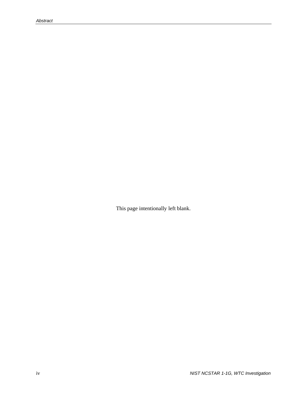This page intentionally left blank.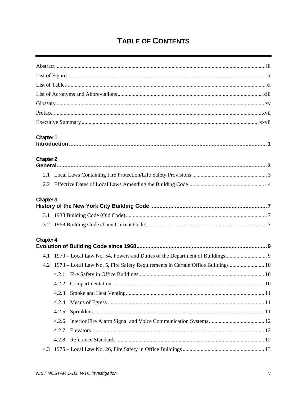# **TABLE OF CONTENTS**

| Chapter 1 |                                                                                      |  |
|-----------|--------------------------------------------------------------------------------------|--|
| Chapter 2 |                                                                                      |  |
|           |                                                                                      |  |
|           |                                                                                      |  |
| Chapter 3 |                                                                                      |  |
| Chapter 4 |                                                                                      |  |
|           | 4.1 1970 - Local Law No. 54, Powers and Duties of the Department of Buildings        |  |
|           | 4.2 1973 – Local Law No. 5, Fire Safety Requirements in Certain Office Buildings  10 |  |
|           |                                                                                      |  |
|           |                                                                                      |  |
|           | 4.2.3                                                                                |  |
|           | 4.2.4                                                                                |  |
|           | 4.2.5                                                                                |  |
|           | 4.2.6                                                                                |  |
|           | 4.2.7                                                                                |  |
|           | 4.2.8                                                                                |  |
| 4.3       |                                                                                      |  |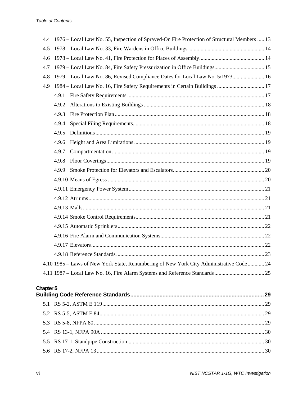|           |       | 4.4 1976 – Local Law No. 55, Inspection of Sprayed-On Fire Protection of Structural Members  13 |  |
|-----------|-------|-------------------------------------------------------------------------------------------------|--|
| 4.5       |       |                                                                                                 |  |
| 4.6       |       |                                                                                                 |  |
| 4.7       |       | 1979 - Local Law No. 84, Fire Safety Pressurization in Office Buildings 15                      |  |
| 4.8       |       | 1979 - Local Law No. 86, Revised Compliance Dates for Local Law No. 5/1973 16                   |  |
| 4.9       |       |                                                                                                 |  |
|           | 4.9.1 |                                                                                                 |  |
|           | 4.9.2 |                                                                                                 |  |
|           | 4.9.3 |                                                                                                 |  |
|           | 4.9.4 |                                                                                                 |  |
|           | 4.9.5 |                                                                                                 |  |
|           | 4.9.6 |                                                                                                 |  |
|           | 4.9.7 |                                                                                                 |  |
|           | 4.9.8 |                                                                                                 |  |
|           | 4.9.9 |                                                                                                 |  |
|           |       |                                                                                                 |  |
|           |       |                                                                                                 |  |
|           |       |                                                                                                 |  |
|           |       |                                                                                                 |  |
|           |       |                                                                                                 |  |
|           |       |                                                                                                 |  |
|           |       |                                                                                                 |  |
|           |       |                                                                                                 |  |
|           |       |                                                                                                 |  |
|           |       | 4.10 1985 - Laws of New York State, Renumbering of New York City Administrative Code 24         |  |
|           |       |                                                                                                 |  |
| Chapter 5 |       |                                                                                                 |  |
|           |       |                                                                                                 |  |
|           |       |                                                                                                 |  |
| 5.3       |       |                                                                                                 |  |
| 5.4       |       |                                                                                                 |  |
| 5.5       |       |                                                                                                 |  |
| 5.6       |       |                                                                                                 |  |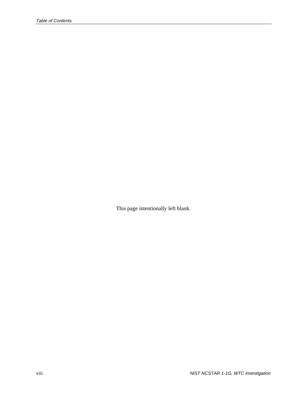This page intentionally left blank.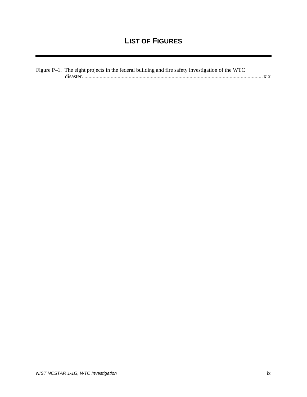# **LIST OF FIGURES**

| Figure P-1. The eight projects in the federal building and fire safety investigation of the WTC |  |
|-------------------------------------------------------------------------------------------------|--|
|                                                                                                 |  |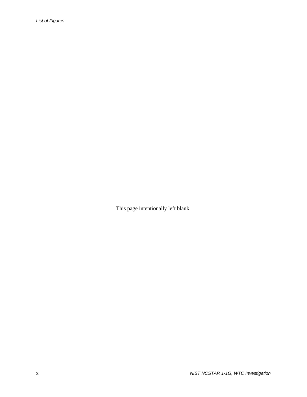This page intentionally left blank.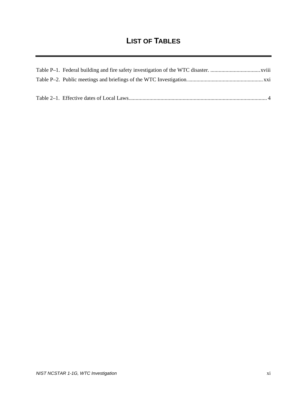# **LIST OF TABLES**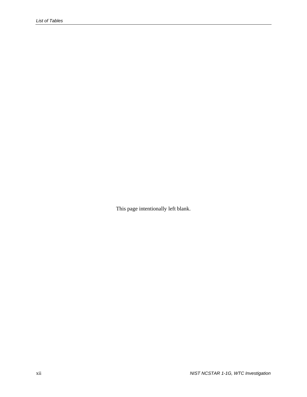This page intentionally left blank.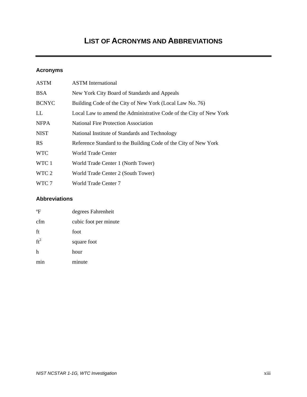# **LIST OF ACRONYMS AND ABBREVIATIONS**

### **Acronyms**

| <b>ASTM</b>  | <b>ASTM</b> International                                          |
|--------------|--------------------------------------------------------------------|
| <b>BSA</b>   | New York City Board of Standards and Appeals                       |
| <b>BCNYC</b> | Building Code of the City of New York (Local Law No. 76)           |
| LL           | Local Law to amend the Administrative Code of the City of New York |
| <b>NFPA</b>  | National Fire Protection Association                               |
| <b>NIST</b>  | National Institute of Standards and Technology                     |
| <b>RS</b>    | Reference Standard to the Building Code of the City of New York    |
| <b>WTC</b>   | World Trade Center                                                 |
| WTC 1        | World Trade Center 1 (North Tower)                                 |
| WTC 2        | World Trade Center 2 (South Tower)                                 |
| WTC 7        | World Trade Center 7                                               |

#### **Abbreviations**

| °F     | degrees Fahrenheit    |
|--------|-----------------------|
| cfm    | cubic foot per minute |
| ft     | foot                  |
| $ft^2$ | square foot           |
| h      | hour                  |
|        | minute                |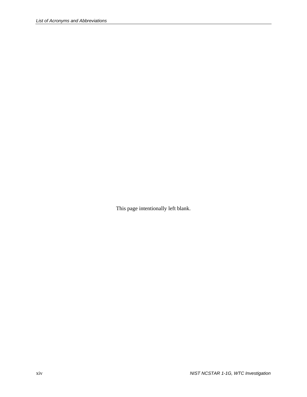This page intentionally left blank.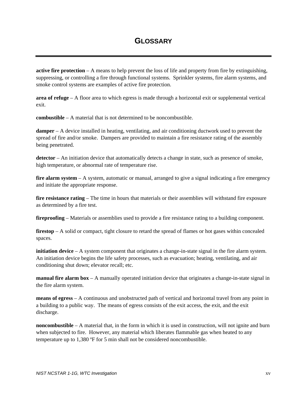### **GLOSSARY**

**active fire protection** – A means to help prevent the loss of life and property from fire by extinguishing, suppressing, or controlling a fire through functional systems. Sprinkler systems, fire alarm systems, and smoke control systems are examples of active fire protection.

**area of refuge** – A floor area to which egress is made through a horizontal exit or supplemental vertical exit.

**combustible** – A material that is not determined to be noncombustible.

**damper** – A device installed in heating, ventilating, and air conditioning ductwork used to prevent the spread of fire and/or smoke. Dampers are provided to maintain a fire resistance rating of the assembly being penetrated.

**detector** – An initiation device that automatically detects a change in state, such as presence of smoke, high temperature, or abnormal rate of temperature rise.

**fire alarm system** – A system, automatic or manual, arranged to give a signal indicating a fire emergency and initiate the appropriate response.

**fire resistance rating** – The time in hours that materials or their assemblies will withstand fire exposure as determined by a fire test.

**fireproofing** – Materials or assemblies used to provide a fire resistance rating to a building component.

**firestop** – A solid or compact, tight closure to retard the spread of flames or hot gases within concealed spaces.

**initiation device** – A system component that originates a change-in-state signal in the fire alarm system. An initiation device begins the life safety processes, such as evacuation; heating, ventilating, and air conditioning shut down; elevator recall; etc.

**manual fire alarm box** – A manually operated initiation device that originates a change-in-state signal in the fire alarm system.

**means of egress** – A continuous and unobstructed path of vertical and horizontal travel from any point in a building to a public way. The means of egress consists of the exit access, the exit, and the exit discharge.

**noncombustible** – A material that, in the form in which it is used in construction, will not ignite and burn when subjected to fire. However, any material which liberates flammable gas when heated to any temperature up to 1,380 ºF for 5 min shall not be considered noncombustible.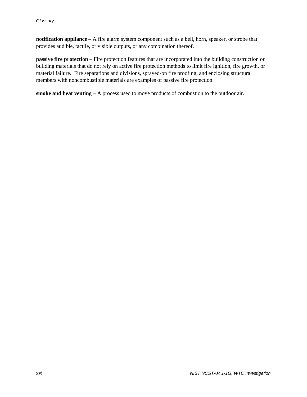**notification appliance** – A fire alarm system component such as a bell, horn, speaker, or strobe that provides audible, tactile, or visible outputs, or any combination thereof.

**passive fire protection** – Fire protection features that are incorporated into the building construction or building materials that do not rely on active fire protection methods to limit fire ignition, fire growth, or material failure. Fire separations and divisions, sprayed-on fire proofing, and enclosing structural members with noncombustible materials are examples of passive fire protection.

**smoke and heat venting** – A process used to move products of combustion to the outdoor air.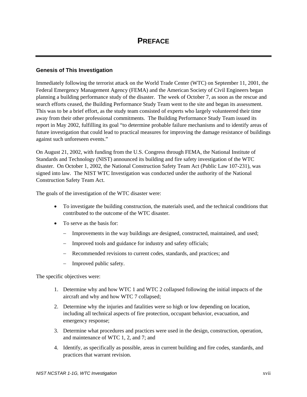#### **Genesis of This Investigation**

Immediately following the terrorist attack on the World Trade Center (WTC) on September 11, 2001, the Federal Emergency Management Agency (FEMA) and the American Society of Civil Engineers began planning a building performance study of the disaster. The week of October 7, as soon as the rescue and search efforts ceased, the Building Performance Study Team went to the site and began its assessment. This was to be a brief effort, as the study team consisted of experts who largely volunteered their time away from their other professional commitments. The Building Performance Study Team issued its report in May 2002, fulfilling its goal "to determine probable failure mechanisms and to identify areas of future investigation that could lead to practical measures for improving the damage resistance of buildings against such unforeseen events."

On August 21, 2002, with funding from the U.S. Congress through FEMA, the National Institute of Standards and Technology (NIST) announced its building and fire safety investigation of the WTC disaster. On October 1, 2002, the National Construction Safety Team Act (Public Law 107-231), was signed into law. The NIST WTC Investigation was conducted under the authority of the National Construction Safety Team Act.

The goals of the investigation of the WTC disaster were:

- To investigate the building construction, the materials used, and the technical conditions that contributed to the outcome of the WTC disaster.
- To serve as the basis for:
	- − Improvements in the way buildings are designed, constructed, maintained, and used;
	- − Improved tools and guidance for industry and safety officials;
	- − Recommended revisions to current codes, standards, and practices; and
	- − Improved public safety.

The specific objectives were:

- 1. Determine why and how WTC 1 and WTC 2 collapsed following the initial impacts of the aircraft and why and how WTC 7 collapsed;
- 2. Determine why the injuries and fatalities were so high or low depending on location, including all technical aspects of fire protection, occupant behavior, evacuation, and emergency response;
- 3. Determine what procedures and practices were used in the design, construction, operation, and maintenance of WTC 1, 2, and 7; and
- 4. Identify, as specifically as possible, areas in current building and fire codes, standards, and practices that warrant revision.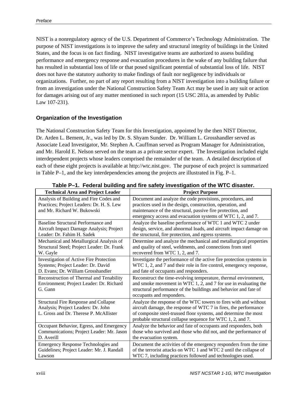NIST is a nonregulatory agency of the U.S. Department of Commerce's Technology Administration. The purpose of NIST investigations is to improve the safety and structural integrity of buildings in the United States, and the focus is on fact finding. NIST investigative teams are authorized to assess building performance and emergency response and evacuation procedures in the wake of any building failure that has resulted in substantial loss of life or that posed significant potential of substantial loss of life. NIST does not have the statutory authority to make findings of fault nor negligence by individuals or organizations. Further, no part of any report resulting from a NIST investigation into a building failure or from an investigation under the National Construction Safety Team Act may be used in any suit or action for damages arising out of any matter mentioned in such report (15 USC 281a, as amended by Public Law 107-231).

#### **Organization of the Investigation**

The National Construction Safety Team for this Investigation, appointed by the then NIST Director, Dr. Arden L. Bement, Jr., was led by Dr. S. Shyam Sunder. Dr. William L. Grosshandler served as Associate Lead Investigator, Mr. Stephen A. Cauffman served as Program Manager for Administration, and Mr. Harold E. Nelson served on the team as a private sector expert. The Investigation included eight interdependent projects whose leaders comprised the remainder of the team. A detailed description of each of these eight projects is available at http://wtc.nist.gov. The purpose of each project is summarized in Table P–1, and the key interdependencies among the projects are illustrated in Fig. P–1.

| $1$ abic I $-1$ . Teaclar bununly and the salety investigation of the WTO disaster.                                    |                                                                                                                                                                                                                                                                        |  |  |
|------------------------------------------------------------------------------------------------------------------------|------------------------------------------------------------------------------------------------------------------------------------------------------------------------------------------------------------------------------------------------------------------------|--|--|
| <b>Technical Area and Project Leader</b>                                                                               | <b>Project Purpose</b>                                                                                                                                                                                                                                                 |  |  |
| Analysis of Building and Fire Codes and<br>Practices; Project Leaders: Dr. H. S. Lew<br>and Mr. Richard W. Bukowski    | Document and analyze the code provisions, procedures, and<br>practices used in the design, construction, operation, and<br>maintenance of the structural, passive fire protection, and<br>emergency access and evacuation systems of WTC 1, 2, and 7.                  |  |  |
| Baseline Structural Performance and                                                                                    | Analyze the baseline performance of WTC 1 and WTC 2 under                                                                                                                                                                                                              |  |  |
| Aircraft Impact Damage Analysis; Project                                                                               | design, service, and abnormal loads, and aircraft impact damage on                                                                                                                                                                                                     |  |  |
| Leader: Dr. Fahim H. Sadek                                                                                             | the structural, fire protection, and egress systems.                                                                                                                                                                                                                   |  |  |
| Mechanical and Metallurgical Analysis of                                                                               | Determine and analyze the mechanical and metallurgical properties                                                                                                                                                                                                      |  |  |
| Structural Steel; Project Leader: Dr. Frank                                                                            | and quality of steel, weldments, and connections from steel                                                                                                                                                                                                            |  |  |
| W. Gayle                                                                                                               | recovered from WTC 1, 2, and 7.                                                                                                                                                                                                                                        |  |  |
| Investigation of Active Fire Protection                                                                                | Investigate the performance of the active fire protection systems in                                                                                                                                                                                                   |  |  |
| Systems; Project Leader: Dr. David                                                                                     | WTC 1, 2, and 7 and their role in fire control, emergency response,                                                                                                                                                                                                    |  |  |
| D. Evans; Dr. William Grosshandler                                                                                     | and fate of occupants and responders.                                                                                                                                                                                                                                  |  |  |
| Reconstruction of Thermal and Tenability<br>Environment; Project Leader: Dr. Richard<br>G. Gann                        | Reconstruct the time-evolving temperature, thermal environment,<br>and smoke movement in WTC 1, 2, and 7 for use in evaluating the<br>structural performance of the buildings and behavior and fate of<br>occupants and responders.                                    |  |  |
| Structural Fire Response and Collapse<br>Analysis; Project Leaders: Dr. John<br>L. Gross and Dr. Therese P. McAllister | Analyze the response of the WTC towers to fires with and without<br>aircraft damage, the response of WTC 7 in fires, the performance<br>of composite steel-trussed floor systems, and determine the most<br>probable structural collapse sequence for WTC 1, 2, and 7. |  |  |
| Occupant Behavior, Egress, and Emergency                                                                               | Analyze the behavior and fate of occupants and responders, both                                                                                                                                                                                                        |  |  |
| Communications; Project Leader: Mr. Jason                                                                              | those who survived and those who did not, and the performance of                                                                                                                                                                                                       |  |  |
| D. Averill                                                                                                             | the evacuation system.                                                                                                                                                                                                                                                 |  |  |
| Emergency Response Technologies and                                                                                    | Document the activities of the emergency responders from the time                                                                                                                                                                                                      |  |  |
| Guidelines; Project Leader: Mr. J. Randall                                                                             | of the terrorist attacks on WTC 1 and WTC 2 until the collapse of                                                                                                                                                                                                      |  |  |
| Lawson                                                                                                                 | WTC 7, including practices followed and technologies used.                                                                                                                                                                                                             |  |  |

**Table P–1. Federal building and fire safety investigation of the WTC disaster.**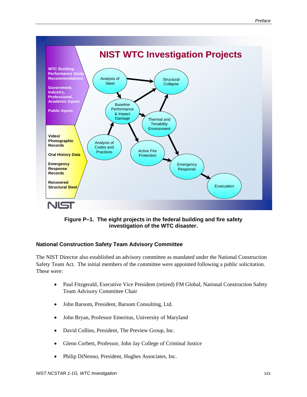

**Figure P–1. The eight projects in the federal building and fire safety investigation of the WTC disaster.** 

#### **National Construction Safety Team Advisory Committee**

The NIST Director also established an advisory committee as mandated under the National Construction Safety Team Act. The initial members of the committee were appointed following a public solicitation. These were:

- Paul Fitzgerald, Executive Vice President (retired) FM Global, National Construction Safety Team Advisory Committee Chair
- John Barsom, President, Barsom Consulting, Ltd.
- John Bryan, Professor Emeritus, University of Maryland
- David Collins, President, The Preview Group, Inc.
- Glenn Corbett, Professor, John Jay College of Criminal Justice
- Philip DiNenno, President, Hughes Associates, Inc.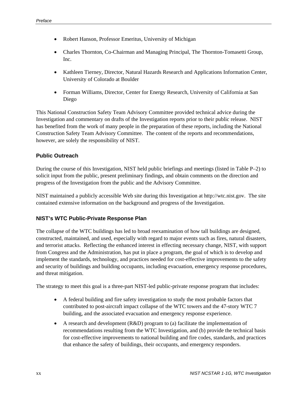- Robert Hanson, Professor Emeritus, University of Michigan
- Charles Thornton, Co-Chairman and Managing Principal, The Thornton-Tomasetti Group, Inc.
- Kathleen Tierney, Director, Natural Hazards Research and Applications Information Center, University of Colorado at Boulder
- Forman Williams, Director, Center for Energy Research, University of California at San Diego

This National Construction Safety Team Advisory Committee provided technical advice during the Investigation and commentary on drafts of the Investigation reports prior to their public release. NIST has benefited from the work of many people in the preparation of these reports, including the National Construction Safety Team Advisory Committee. The content of the reports and recommendations, however, are solely the responsibility of NIST.

#### **Public Outreach**

During the course of this Investigation, NIST held public briefings and meetings (listed in Table P–2) to solicit input from the public, present preliminary findings, and obtain comments on the direction and progress of the Investigation from the public and the Advisory Committee.

NIST maintained a publicly accessible Web site during this Investigation at [http://wtc.nist.gov](http://wtc.nist.gov/). The site contained extensive information on the background and progress of the Investigation.

#### **NIST's WTC Public-Private Response Plan**

The collapse of the WTC buildings has led to broad reexamination of how tall buildings are designed, constructed, maintained, and used, especially with regard to major events such as fires, natural disasters, and terrorist attacks. Reflecting the enhanced interest in effecting necessary change, NIST, with support from Congress and the Administration, has put in place a program, the goal of which is to develop and implement the standards, technology, and practices needed for cost-effective improvements to the safety and security of buildings and building occupants, including evacuation, emergency response procedures, and threat mitigation.

The strategy to meet this goal is a three-part NIST-led public-private response program that includes:

- A federal building and fire safety investigation to study the most probable factors that contributed to post-aircraft impact collapse of the WTC towers and the 47-story WTC 7 building, and the associated evacuation and emergency response experience.
- A research and development (R&D) program to (a) facilitate the implementation of recommendations resulting from the WTC Investigation, and (b) provide the technical basis for cost-effective improvements to national building and fire codes, standards, and practices that enhance the safety of buildings, their occupants, and emergency responders.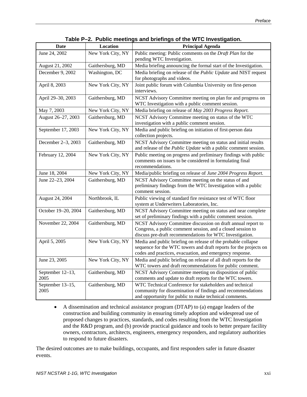| Date                     | <b>Location</b>   | <b>Principal Agenda</b>                                                                                                                                                                        |  |
|--------------------------|-------------------|------------------------------------------------------------------------------------------------------------------------------------------------------------------------------------------------|--|
| June 24, 2002            | New York City, NY | Public meeting: Public comments on the Draft Plan for the<br>pending WTC Investigation.                                                                                                        |  |
| August 21, 2002          | Gaithersburg, MD  | Media briefing announcing the formal start of the Investigation.                                                                                                                               |  |
| December 9, 2002         | Washington, DC    | Media briefing on release of the Public Update and NIST request<br>for photographs and videos.                                                                                                 |  |
| April 8, 2003            | New York City, NY | Joint public forum with Columbia University on first-person<br>interviews.                                                                                                                     |  |
| April 29-30, 2003        | Gaithersburg, MD  | NCST Advisory Committee meeting on plan for and progress on<br>WTC Investigation with a public comment session.                                                                                |  |
| May 7, 2003              | New York City, NY | Media briefing on release of May 2003 Progress Report.                                                                                                                                         |  |
| August 26-27, 2003       | Gaithersburg, MD  | NCST Advisory Committee meeting on status of the WTC<br>investigation with a public comment session.                                                                                           |  |
| September 17, 2003       | New York City, NY | Media and public briefing on initiation of first-person data<br>collection projects.                                                                                                           |  |
| December 2-3, 2003       | Gaithersburg, MD  | NCST Advisory Committee meeting on status and initial results<br>and release of the <i>Public Update</i> with a public comment session.                                                        |  |
| February 12, 2004        | New York City, NY | Public meeting on progress and preliminary findings with public<br>comments on issues to be considered in formulating final<br>recommendations.                                                |  |
| June 18, 2004            | New York City, NY | Media/public briefing on release of June 2004 Progress Report.                                                                                                                                 |  |
| June 22-23, 2004         | Gaithersburg, MD  | NCST Advisory Committee meeting on the status of and<br>preliminary findings from the WTC Investigation with a public<br>comment session.                                                      |  |
| August 24, 2004          | Northbrook, IL    | Public viewing of standard fire resistance test of WTC floor<br>system at Underwriters Laboratories, Inc.                                                                                      |  |
| October 19-20, 2004      | Gaithersburg, MD  | NCST Advisory Committee meeting on status and near complete<br>set of preliminary findings with a public comment session.                                                                      |  |
| November 22, 2004        | Gaithersburg, MD  | NCST Advisory Committee discussion on draft annual report to<br>Congress, a public comment session, and a closed session to<br>discuss pre-draft recommendations for WTC Investigation.        |  |
| April 5, 2005            | New York City, NY | Media and public briefing on release of the probable collapse<br>sequence for the WTC towers and draft reports for the projects on<br>codes and practices, evacuation, and emergency response. |  |
| June 23, 2005            | New York City, NY | Media and public briefing on release of all draft reports for the<br>WTC towers and draft recommendations for public comment.                                                                  |  |
| September 12-13,<br>2005 | Gaithersburg, MD  | NCST Advisory Committee meeting on disposition of public<br>comments and update to draft reports for the WTC towers.                                                                           |  |
| September 13-15,<br>2005 | Gaithersburg, MD  | WTC Technical Conference for stakeholders and technical<br>community for dissemination of findings and recommendations<br>and opportunity for public to make technical comments.               |  |

|  | Table P-2. Public meetings and briefings of the WTC Investigation. |  |  |  |
|--|--------------------------------------------------------------------|--|--|--|
|--|--------------------------------------------------------------------|--|--|--|

• A dissemination and technical assistance program (DTAP) to (a) engage leaders of the construction and building community in ensuring timely adoption and widespread use of proposed changes to practices, standards, and codes resulting from the WTC Investigation and the R&D program, and (b) provide practical guidance and tools to better prepare facility owners, contractors, architects, engineers, emergency responders, and regulatory authorities to respond to future disasters.

The desired outcomes are to make buildings, occupants, and first responders safer in future disaster events.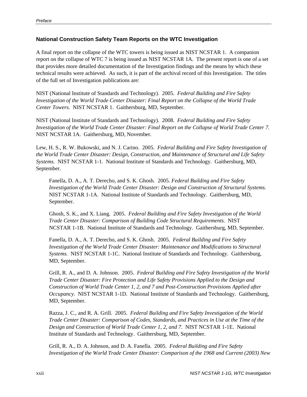#### **National Construction Safety Team Reports on the WTC Investigation**

A final report on the collapse of the WTC towers is being issued as NIST NCSTAR 1. A companion report on the collapse of WTC 7 is being issued as NIST NCSTAR 1A. The present report is one of a set that provides more detailed documentation of the Investigation findings and the means by which these technical results were achieved. As such, it is part of the archival record of this Investigation. The titles of the full set of Investigation publications are:

NIST (National Institute of Standards and Technology). 2005. *Federal Building and Fire Safety Investigation of the World Trade Center Disaster: Final Report on the Collapse of the World Trade Center Towers.* NIST NCSTAR 1. Gaithersburg, MD, September.

NIST (National Institute of Standards and Technology). 2008. *Federal Building and Fire Safety Investigation of the World Trade Center Disaster: Final Report on the Collapse of World Trade Center 7.* NIST NCSTAR 1A. Gaithersburg, MD, November.

Lew, H. S., R. W. Bukowski, and N. J. Carino. 2005. *Federal Building and Fire Safety Investigation of the World Trade Center Disaster: Design, Construction, and Maintenance of Structural and Life Safety Systems.* NIST NCSTAR 1-1. National Institute of Standards and Technology. Gaithersburg, MD, September.

Fanella, D. A., A. T. Derecho, and S. K. Ghosh. 2005. *Federal Building and Fire Safety Investigation of the World Trade Center Disaster: Design and Construction of Structural Systems.*  NIST NCSTAR 1-1A. National Institute of Standards and Technology. Gaithersburg, MD, September.

Ghosh, S. K., and X. Liang. 2005. *Federal Building and Fire Safety Investigation of the World Trade Center Disaster: Comparison of Building Code Structural Requirements.* NIST NCSTAR 1-1B. National Institute of Standards and Technology. Gaithersburg, MD, September.

Fanella, D. A., A. T. Derecho, and S. K. Ghosh. 2005. *Federal Building and Fire Safety Investigation of the World Trade Center Disaster: Maintenance and Modifications to Structural Systems.* NIST NCSTAR 1-1C. National Institute of Standards and Technology. Gaithersburg, MD, September.

Grill, R. A., and D. A. Johnson. 2005. *Federal Building and Fire Safety Investigation of the World Trade Center Disaster: Fire Protection and Life Safety Provisions Applied to the Design and Construction of World Trade Center 1, 2, and 7 and Post-Construction Provisions Applied after Occupancy*. NIST NCSTAR 1-1D. National Institute of Standards and Technology. Gaithersburg, MD, September.

Razza, J. C., and R. A. Grill. 2005. *Federal Building and Fire Safety Investigation of the World Trade Center Disaster: Comparison of Codes, Standards, and Practices in Use at the Time of the Design and Construction of World Trade Center 1, 2, and 7*. NIST NCSTAR 1-1E. National Institute of Standards and Technology. Gaithersburg, MD, September.

Grill, R. A., D. A. Johnson, and D. A. Fanella. 2005. *Federal Building and Fire Safety Investigation of the World Trade Center Disaster: Comparison of the 1968 and Current (2003) New*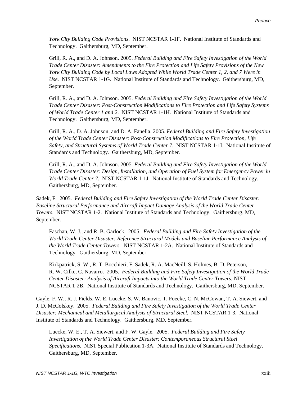*York City Building Code Provisions*. NIST NCSTAR 1-1F. National Institute of Standards and Technology. Gaithersburg, MD, September.

Grill, R. A., and D. A. Johnson. 2005. *Federal Building and Fire Safety Investigation of the World Trade Center Disaster: Amendments to the Fire Protection and Life Safety Provisions of the New York City Building Code by Local Laws Adopted While World Trade Center 1, 2, and 7 Were in Use*. NIST NCSTAR 1-1G. National Institute of Standards and Technology. Gaithersburg, MD, September.

Grill, R. A., and D. A. Johnson. 2005. *Federal Building and Fire Safety Investigation of the World Trade Center Disaster: Post-Construction Modifications to Fire Protection and Life Safety Systems of World Trade Center 1 and 2*. NIST NCSTAR 1-1H. National Institute of Standards and Technology. Gaithersburg, MD, September.

Grill, R. A., D. A. Johnson, and D. A. Fanella. 2005. *Federal Building and Fire Safety Investigation of the World Trade Center Disaster: Post-Construction Modifications to Fire Protection, Life Safety, and Structural Systems of World Trade Center 7*. NIST NCSTAR 1-1I. National Institute of Standards and Technology. Gaithersburg, MD, September.

Grill, R. A., and D. A. Johnson. 2005. *Federal Building and Fire Safety Investigation of the World Trade Center Disaster: Design, Installation, and Operation of Fuel System for Emergency Power in World Trade Center 7*. NIST NCSTAR 1-1J. National Institute of Standards and Technology. Gaithersburg, MD, September.

Sadek, F. 2005. *Federal Building and Fire Safety Investigation of the World Trade Center Disaster: Baseline Structural Performance and Aircraft Impact Damage Analysis of the World Trade Center Towers.* NIST NCSTAR 1-2. National Institute of Standards and Technology. Gaithersburg, MD, September.

Faschan, W. J., and R. B. Garlock. 2005. *Federal Building and Fire Safety Investigation of the World Trade Center Disaster: Reference Structural Models and Baseline Performance Analysis of the World Trade Center Towers.* NIST NCSTAR 1-2A. National Institute of Standards and Technology. Gaithersburg, MD, September.

Kirkpatrick, S. W., R. T. Bocchieri, F. Sadek, R. A. MacNeill, S. Holmes, B. D. Peterson, R. W. Cilke, C. Navarro. 2005. *Federal Building and Fire Safety Investigation of the World Trade Center Disaster: Analysis of Aircraft Impacts into the World Trade Center Towers,* NIST NCSTAR 1-2B. National Institute of Standards and Technology. Gaithersburg, MD, September.

Gayle, F. W., R. J. Fields, W. E. Luecke, S. W. Banovic, T. Foecke, C. N. McCowan, T. A. Siewert, and J. D. McColskey. 2005. *Federal Building and Fire Safety Investigation of the World Trade Center Disaster: Mechanical and Metallurgical Analysis of Structural Steel.* NIST NCSTAR 1-3. National Institute of Standards and Technology. Gaithersburg, MD, September.

Luecke, W. E., T. A. Siewert, and F. W. Gayle. 2005. *Federal Building and Fire Safety Investigation of the World Trade Center Disaster: Contemporaneous Structural Steel Specifications.* NIST Special Publication 1-3A. National Institute of Standards and Technology. Gaithersburg, MD, September.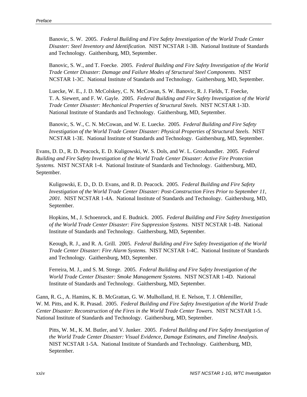Banovic, S. W. 2005. *Federal Building and Fire Safety Investigation of the World Trade Center Disaster: Steel Inventory and Identification.* NIST NCSTAR 1-3B. National Institute of Standards and Technology. Gaithersburg, MD, September.

Banovic, S. W., and T. Foecke. 2005. *Federal Building and Fire Safety Investigation of the World Trade Center Disaster: Damage and Failure Modes of Structural Steel Components.* NIST NCSTAR 1-3C. National Institute of Standards and Technology. Gaithersburg, MD, September.

Luecke, W. E., J. D. McColskey, C. N. McCowan, S. W. Banovic, R. J. Fields, T. Foecke, T. A. Siewert, and F. W. Gayle. 2005. *Federal Building and Fire Safety Investigation of the World Trade Center Disaster: Mechanical Properties of Structural Steels.* NIST NCSTAR 1-3D. National Institute of Standards and Technology. Gaithersburg, MD, September.

Banovic, S. W., C. N. McCowan, and W. E. Luecke. 2005. *Federal Building and Fire Safety Investigation of the World Trade Center Disaster: Physical Properties of Structural Steels.* NIST NCSTAR 1-3E. National Institute of Standards and Technology. Gaithersburg, MD, September.

Evans, D. D., R. D. Peacock, E. D. Kuligowski, W. S. Dols, and W. L. Grosshandler. 2005. *Federal Building and Fire Safety Investigation of the World Trade Center Disaster: Active Fire Protection Systems.* NIST NCSTAR 1-4. National Institute of Standards and Technology. Gaithersburg, MD, September.

Kuligowski, E. D., D. D. Evans, and R. D. Peacock. 2005. *Federal Building and Fire Safety Investigation of the World Trade Center Disaster: Post-Construction Fires Prior to September 11, 2001.* NIST NCSTAR 1-4A. National Institute of Standards and Technology. Gaithersburg, MD, September.

Hopkins, M., J. Schoenrock, and E. Budnick. 2005. *Federal Building and Fire Safety Investigation of the World Trade Center Disaster: Fire Suppression Systems.* NIST NCSTAR 1-4B. National Institute of Standards and Technology. Gaithersburg, MD, September.

Keough, R. J., and R. A. Grill. 2005. *Federal Building and Fire Safety Investigation of the World Trade Center Disaster: Fire Alarm Systems.* NIST NCSTAR 1-4C. National Institute of Standards and Technology. Gaithersburg, MD, September.

Ferreira, M. J., and S. M. Strege. 2005. *Federal Building and Fire Safety Investigation of the World Trade Center Disaster: Smoke Management Systems.* NIST NCSTAR 1-4D. National Institute of Standards and Technology. Gaithersburg, MD, September.

Gann, R. G., A. Hamins, K. B. McGrattan, G. W. Mulholland, H. E. Nelson, T. J. Ohlemiller, W. M. Pitts, and K. R. Prasad. 2005. *Federal Building and Fire Safety Investigation of the World Trade Center Disaster: Reconstruction of the Fires in the World Trade Center Towers.* NIST NCSTAR 1-5. National Institute of Standards and Technology. Gaithersburg, MD, September.

Pitts, W. M., K. M. Butler, and V. Junker. 2005. *Federal Building and Fire Safety Investigation of the World Trade Center Disaster: Visual Evidence, Damage Estimates, and Timeline Analysis.* NIST NCSTAR 1-5A. National Institute of Standards and Technology. Gaithersburg, MD, September.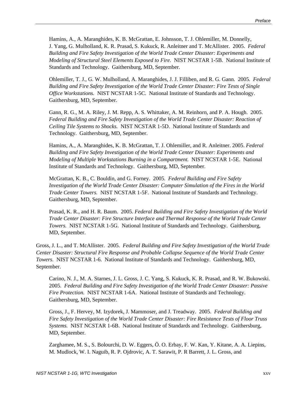Hamins, A., A. Maranghides, K. B. McGrattan, E. Johnsson, T. J. Ohlemiller, M. Donnelly, J. Yang, G. Mulholland, K. R. Prasad, S. Kukuck, R. Anleitner and T. McAllister. 2005. *Federal Building and Fire Safety Investigation of the World Trade Center Disaster: Experiments and Modeling of Structural Steel Elements Exposed to Fire.* NIST NCSTAR 1-5B. National Institute of Standards and Technology. Gaithersburg, MD, September.

Ohlemiller, T. J., G. W. Mulholland, A. Maranghides, J. J. Filliben, and R. G. Gann. 2005. *Federal Building and Fire Safety Investigation of the World Trade Center Disaster: Fire Tests of Single Office Workstations.* NIST NCSTAR 1-5C. National Institute of Standards and Technology. Gaithersburg, MD, September.

Gann, R. G., M. A. Riley, J. M. Repp, A. S. Whittaker, A. M. Reinhorn, and P. A. Hough. 2005. *Federal Building and Fire Safety Investigation of the World Trade Center Disaster: Reaction of Ceiling Tile Systems to Shocks.* NIST NCSTAR 1-5D. National Institute of Standards and Technology. Gaithersburg, MD, September.

Hamins, A., A. Maranghides, K. B. McGrattan, T. J. Ohlemiller, and R. Anleitner. 2005. *Federal Building and Fire Safety Investigation of the World Trade Center Disaster: Experiments and Modeling of Multiple Workstations Burning in a Compartment.* NIST NCSTAR 1-5E. National Institute of Standards and Technology. Gaithersburg, MD, September.

McGrattan, K. B., C. Bouldin, and G. Forney. 2005. *Federal Building and Fire Safety Investigation of the World Trade Center Disaster: Computer Simulation of the Fires in the World Trade Center Towers.* NIST NCSTAR 1-5F. National Institute of Standards and Technology. Gaithersburg, MD, September.

Prasad, K. R., and H. R. Baum. 2005. *Federal Building and Fire Safety Investigation of the World Trade Center Disaster: Fire Structure Interface and Thermal Response of the World Trade Center Towers.* NIST NCSTAR 1-5G. National Institute of Standards and Technology. Gaithersburg, MD, September.

Gross, J. L., and T. McAllister. 2005. *Federal Building and Fire Safety Investigation of the World Trade Center Disaster: Structural Fire Response and Probable Collapse Sequence of the World Trade Center Towers.* NIST NCSTAR 1-6. National Institute of Standards and Technology. Gaithersburg, MD, September.

Carino, N. J., M. A. Starnes, J. L. Gross, J. C. Yang, S. Kukuck, K. R. Prasad, and R. W. Bukowski. 2005. *Federal Building and Fire Safety Investigation of the World Trade Center Disaster: Passive Fire Protection.* NIST NCSTAR 1-6A. National Institute of Standards and Technology. Gaithersburg, MD, September.

Gross, J., F. Hervey, M. Izydorek, J. Mammoser, and J. Treadway. 2005. *Federal Building and Fire Safety Investigation of the World Trade Center Disaster: Fire Resistance Tests of Floor Truss Systems.* NIST NCSTAR 1-6B. National Institute of Standards and Technology. Gaithersburg, MD, September.

Zarghamee, M. S., S. Bolourchi, D. W. Eggers, Ö. O. Erbay, F. W. Kan, Y. Kitane, A. A. Liepins, M. Mudlock, W. I. Naguib, R. P. Ojdrovic, A. T. Sarawit, P. R Barrett, J. L. Gross, and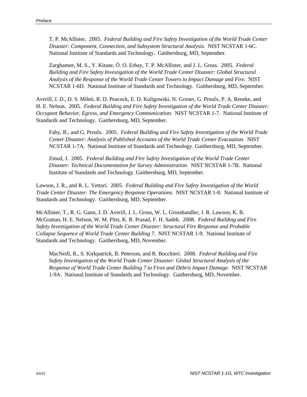T. P. McAllister. 2005. *Federal Building and Fire Safety Investigation of the World Trade Center Disaster: Component, Connection, and Subsystem Structural Analysis.* NIST NCSTAR 1-6C. National Institute of Standards and Technology. Gaithersburg, MD, September.

Zarghamee, M. S., Y. Kitane, Ö. O. Erbay, T. P. McAllister, and J. L. Gross. 2005. *Federal Building and Fire Safety Investigation of the World Trade Center Disaster: Global Structural Analysis of the Response of the World Trade Center Towers to Impact Damage and Fire.* NIST NCSTAR 1-6D. National Institute of Standards and Technology. Gaithersburg, MD, September.

Averill, J. D., D. S. Mileti, R. D. Peacock, E. D. Kuligowski, N. Groner, G. Proulx, P. A. Reneke, and H. E. Nelson. 2005. *Federal Building and Fire Safety Investigation of the World Trade Center Disaster: Occupant Behavior, Egress, and Emergency Communication.* NIST NCSTAR 1-7. National Institute of Standards and Technology. Gaithersburg, MD, September.

Fahy, R., and G. Proulx. 2005. *Federal Building and Fire Safety Investigation of the World Trade Center Disaster: Analysis of Published Accounts of the World Trade Center Evacuation.* NIST NCSTAR 1-7A. National Institute of Standards and Technology. Gaithersburg, MD, September.

Zmud, J. 2005. *Federal Building and Fire Safety Investigation of the World Trade Center Disaster: Technical Documentation for Survey Administration.* NIST NCSTAR 1-7B. National Institute of Standards and Technology. Gaithersburg, MD, September.

Lawson, J. R., and R. L. Vettori. 2005. *Federal Building and Fire Safety Investigation of the World Trade Center Disaster: The Emergency Response Operations.* NIST NCSTAR 1-8. National Institute of Standards and Technology. Gaithersburg, MD, September.

McAllister, T., R. G. Gann, J. D. Averill, J. L. Gross, W. L. Grosshandler, J. R. Lawson, K. B. McGrattan, H. E. Nelson, W. M. Pitts, K. R. Prasad, F. H. Sadek. 2008. *Federal Building and Fire Safety Investigation of the World Trade Center Disaster: Structural Fire Response and Probable Collapse Sequence of World Trade Center Building 7.* NIST NCSTAR 1-9. National Institute of Standards and Technology. Gaithersburg, MD, November.

MacNeill, R., S. Kirkpatrick, B. Peterson, and R. Bocchieri. 2008. *Federal Building and Fire Safety Investigation of the World Trade Center Disaster: Global Structural Analysis of the Response of World Trade Center Building 7 to Fires and Debris Impact Damage*. NIST NCSTAR 1-9A. National Institute of Standards and Technology. Gaithersburg, MD, November.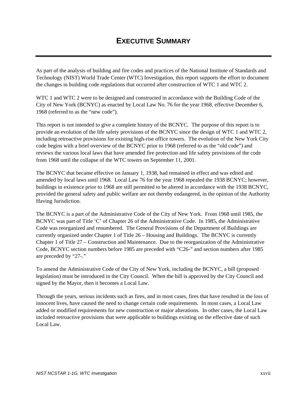### **EXECUTIVE SUMMARY**

As part of the analysis of building and fire codes and practices of the National Institute of Standards and Technology (NIST) World Trade Center (WTC) Investigation, this report supports the effort to document the changes in building code regulations that occurred after construction of WTC 1 and WTC 2.

WTC 1 and WTC 2 were to be designed and constructed in accordance with the Building Code of the City of New York (BCNYC) as enacted by Local Law No. 76 for the year 1968, effective December 6, 1968 (referred to as the "new code").

This report is not intended to give a complete history of the BCNYC. The purpose of this report is to provide an evolution of the life safety provisions of the BCNYC since the design of WTC 1 and WTC 2, including retroactive provisions for existing high-rise office towers. The evolution of the New York City code begins with a brief overview of the BCNYC prior to 1968 (referred to as the "old code") and reviews the various local laws that have amended fire protection and life safety provisions of the code from 1968 until the collapse of the WTC towers on September 11, 2001.

The BCNYC that became effective on January 1, 1938, had remained in effect and was edited and amended by local laws until 1968. Local Law 76 for the year 1968 repealed the 1938 BCNYC; however, buildings in existence prior to 1968 are still permitted to be altered in accordance with the 1938 BCNYC, provided the general safety and public welfare are not thereby endangered, in the opinion of the Authority Having Jurisdiction.

The BCNYC is a part of the Administrative Code of the City of New York. From 1968 until 1985, the BCNYC was part of Title 'C' of Chapter 26 of the Administrative Code. In 1985, the Administrative Code was reorganized and renumbered. The General Provisions of the Department of Buildings are currently organized under Chapter 1 of Title 26 – Housing and Buildings. The BCNYC is currently Chapter 1 of Title 27 – Construction and Maintenance. Due to the reorganization of the Administrative Code, BCNYC section numbers before 1985 are preceded with "C26-" and section numbers after 1985 are preceded by "27-."

To amend the Administrative Code of the City of New York, including the BCNYC, a bill (proposed legislation) must be introduced in the City Council. When the bill is approved by the City Council and signed by the Mayor, then it becomes a Local Law.

Through the years, serious incidents such as fires, and in most cases, fires that have resulted in the loss of innocent lives, have caused the need to change certain code requirements. In most cases, a Local Law added or modified requirements for new construction or major alterations. In other cases, the Local Law included retroactive provisions that were applicable to buildings existing on the effective date of such Local Law.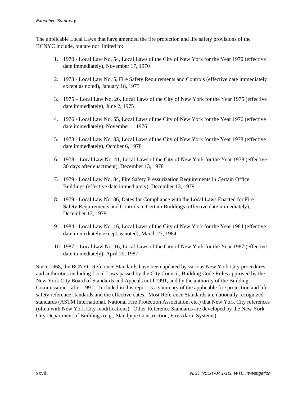The applicable Local Laws that have amended the fire protection and life safety provisions of the BCNYC include, but are not limited to:

- 1. 1970 Local Law No. 54, Local Laws of the City of New York for the Year 1970 (effective date immediately), November 17, 1970
- 2. 1973 Local Law No. 5, Fire Safety Requirements and Controls (effective date immediately except as noted), January 18, 1973
- 3. 1975 Local Law No. 26, Local Laws of the City of New York for the Year 1975 (effective date immediately), June 2, 1975
- 4. 1976 Local Law No. 55, Local Laws of the City of New York for the Year 1976 (effective date immediately), November 1, 1976
- 5. 1978 Local Law No. 33, Local Laws of the City of New York for the Year 1978 (effective date immediately), October 6, 1978
- 6. 1978 Local Law No. 41, Local Laws of the City of New York for the Year 1978 (effective 30 days after enactment), December 13, 1978
- 7. 1979 Local Law No. 84, Fire Safety Pressurization Requirements in Certain Office Buildings (effective date immediately), December 13, 1979
- 8. 1979 Local Law No. 86, Dates for Compliance with the Local Laws Enacted for Fire Safety Requirements and Controls in Certain Buildings (effective date immediately), December 13, 1979
- 9. 1984 Local Law No. 16, Local Laws of the City of New York for the Year 1984 (effective date immediately except as noted), March 27, 1984
- 10. 1987 Local Law No. 16, Local Laws of the City of New York for the Year 1987 (effective date immediately), April 20, 1987

Since 1968, the BCNYC Reference Standards have been updated by various New York City procedures and authorities including Local Laws passed by the City Council, Building Code Rules approved by the New York City Board of Standards and Appeals until 1991, and by the authority of the Building Commissioner, after 1991. Included in this report is a summary of the applicable fire protection and life safety reference standards and the effective dates. Most Reference Standards are nationally recognized standards (ASTM International, National Fire Protection Association, etc.) that New York City references (often with New York City modifications). Other Reference Standards are developed by the New York City Department of Buildings (e.g., Standpipe Construction, Fire Alarm Systems).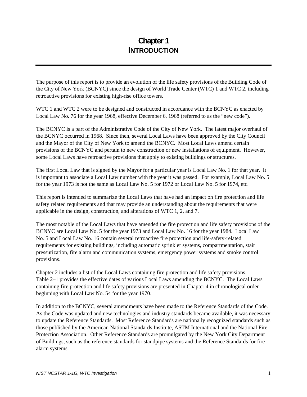### **Chapter 1 INTRODUCTION**

The purpose of this report is to provide an evolution of the life safety provisions of the Building Code of the City of New York (BCNYC) since the design of World Trade Center (WTC) 1 and WTC 2, including retroactive provisions for existing high-rise office towers.

WTC 1 and WTC 2 were to be designed and constructed in accordance with the BCNYC as enacted by Local Law No. 76 for the year 1968, effective December 6, 1968 (referred to as the "new code").

The BCNYC is a part of the Administrative Code of the City of New York. The latest major overhaul of the BCNYC occurred in 1968. Since then, several Local Laws have been approved by the City Council and the Mayor of the City of New York to amend the BCNYC. Most Local Laws amend certain provisions of the BCNYC and pertain to new construction or new installations of equipment. However, some Local Laws have retroactive provisions that apply to existing buildings or structures.

The first Local Law that is signed by the Mayor for a particular year is Local Law No. 1 for that year. It is important to associate a Local Law number with the year it was passed. For example, Local Law No. 5 for the year 1973 is not the same as Local Law No. 5 for 1972 or Local Law No. 5 for 1974, etc.

This report is intended to summarize the Local Laws that have had an impact on fire protection and life safety related requirements and that may provide an understanding about the requirements that were applicable in the design, construction, and alterations of WTC 1, 2, and 7.

The most notable of the Local Laws that have amended the fire protection and life safety provisions of the BCNYC are Local Law No. 5 for the year 1973 and Local Law No. 16 for the year 1984. Local Law No. 5 and Local Law No. 16 contain several retroactive fire protection and life-safety-related requirements for existing buildings, including automatic sprinkler systems, compartmentation, stair pressurization, fire alarm and communication systems, emergency power systems and smoke control provisions.

Chapter 2 includes a list of the Local Laws containing fire protection and life safety provisions. Table 2–1 provides the effective dates of various Local Laws amending the BCNYC. The Local Laws containing fire protection and life safety provisions are presented in Chapter 4 in chronological order beginning with Local Law No. 54 for the year 1970.

In addition to the BCNYC, several amendments have been made to the Reference Standards of the Code. As the Code was updated and new technologies and industry standards became available, it was necessary to update the Reference Standards. Most Reference Standards are nationally recognized standards such as those published by the American National Standards Institute, ASTM International and the National Fire Protection Association. Other Reference Standards are promulgated by the New York City Department of Buildings, such as the reference standards for standpipe systems and the Reference Standards for fire alarm systems.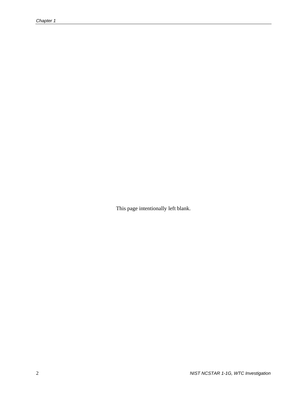This page intentionally left blank.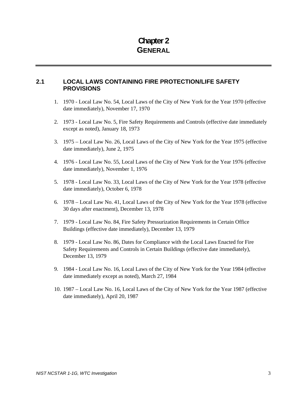## **Chapter 2 GENERAL**

#### **2.1 LOCAL LAWS CONTAINING FIRE PROTECTION/LIFE SAFETY PROVISIONS**

- 1. 1970 Local Law No. 54, Local Laws of the City of New York for the Year 1970 (effective date immediately), November 17, 1970
- 2. 1973 Local Law No. 5, Fire Safety Requirements and Controls (effective date immediately except as noted), January 18, 1973
- 3. 1975 Local Law No. 26, Local Laws of the City of New York for the Year 1975 (effective date immediately), June 2, 1975
- 4. 1976 Local Law No. 55, Local Laws of the City of New York for the Year 1976 (effective date immediately), November 1, 1976
- 5. 1978 Local Law No. 33, Local Laws of the City of New York for the Year 1978 (effective date immediately), October 6, 1978
- 6. 1978 Local Law No. 41, Local Laws of the City of New York for the Year 1978 (effective 30 days after enactment), December 13, 1978
- 7. 1979 Local Law No. 84, Fire Safety Pressurization Requirements in Certain Office Buildings (effective date immediately), December 13, 1979
- 8. 1979 Local Law No. 86, Dates for Compliance with the Local Laws Enacted for Fire Safety Requirements and Controls in Certain Buildings (effective date immediately), December 13, 1979
- 9. 1984 Local Law No. 16, Local Laws of the City of New York for the Year 1984 (effective date immediately except as noted), March 27, 1984
- 10. 1987 Local Law No. 16, Local Laws of the City of New York for the Year 1987 (effective date immediately), April 20, 1987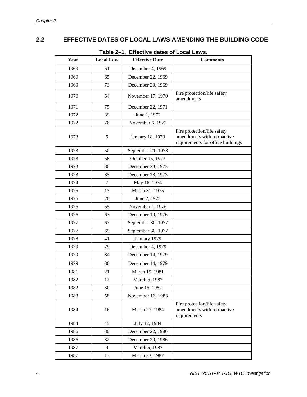### **2.2 EFFECTIVE DATES OF LOCAL LAWS AMENDING THE BUILDING CODE**

| Year | <b>Local Law</b> | <b>Effective Date</b> | <b>Comments</b>                                                                                 |
|------|------------------|-----------------------|-------------------------------------------------------------------------------------------------|
| 1969 | 61               | December 4, 1969      |                                                                                                 |
| 1969 | 65               | December 22, 1969     |                                                                                                 |
| 1969 | 73               | December 20, 1969     |                                                                                                 |
| 1970 | 54               | November 17, 1970     | Fire protection/life safety<br>amendments                                                       |
| 1971 | 75               | December 22, 1971     |                                                                                                 |
| 1972 | 39               | June 1, 1972          |                                                                                                 |
| 1972 | 76               | November 6, 1972      |                                                                                                 |
| 1973 | 5                | January 18, 1973      | Fire protection/life safety<br>amendments with retroactive<br>requirements for office buildings |
| 1973 | 50               | September 21, 1973    |                                                                                                 |
| 1973 | 58               | October 15, 1973      |                                                                                                 |
| 1973 | 80               | December 28, 1973     |                                                                                                 |
| 1973 | 85               | December 28, 1973     |                                                                                                 |
| 1974 | 7                | May 16, 1974          |                                                                                                 |
| 1975 | 13               | March 31, 1975        |                                                                                                 |
| 1975 | 26               | June 2, 1975          |                                                                                                 |
| 1976 | 55               | November 1, 1976      |                                                                                                 |
| 1976 | 63               | December 10, 1976     |                                                                                                 |
| 1977 | 67               | September 30, 1977    |                                                                                                 |
| 1977 | 69               | September 30, 1977    |                                                                                                 |
| 1978 | 41               | January 1979          |                                                                                                 |
| 1979 | 79               | December 4, 1979      |                                                                                                 |
| 1979 | 84               | December 14, 1979     |                                                                                                 |
| 1979 | 86               | December 14, 1979     |                                                                                                 |
| 1981 | 21               | March 19, 1981        |                                                                                                 |
| 1982 | 12               | March 5, 1982         |                                                                                                 |
| 1982 | 30               | June 15, 1982         |                                                                                                 |
| 1983 | 58               | November 16, 1983     |                                                                                                 |
| 1984 | 16               | March 27, 1984        | Fire protection/life safety<br>amendments with retroactive<br>requirements                      |
| 1984 | 45               | July 12, 1984         |                                                                                                 |
| 1986 | 80               | December 22, 1986     |                                                                                                 |
| 1986 | 82               | December 30, 1986     |                                                                                                 |
| 1987 | 9                | March 5, 1987         |                                                                                                 |
| 1987 | 13               | March 23, 1987        |                                                                                                 |

#### **Table 2–1. Effective dates of Local Laws.**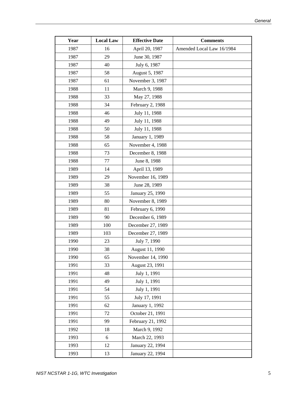| Year | <b>Local Law</b> | <b>Effective Date</b> | <b>Comments</b>           |
|------|------------------|-----------------------|---------------------------|
| 1987 | 16               | April 20, 1987        | Amended Local Law 16/1984 |
| 1987 | 29               | June 30, 1987         |                           |
| 1987 | 40               | July 6, 1987          |                           |
| 1987 | 58               | August 5, 1987        |                           |
| 1987 | 61               | November 3, 1987      |                           |
| 1988 | 11               | March 9, 1988         |                           |
| 1988 | 33               | May 27, 1988          |                           |
| 1988 | 34               | February 2, 1988      |                           |
| 1988 | 46               | July 11, 1988         |                           |
| 1988 | 49               | July 11, 1988         |                           |
| 1988 | 50               | July 11, 1988         |                           |
| 1988 | 58               | January 1, 1989       |                           |
| 1988 | 65               | November 4, 1988      |                           |
| 1988 | 73               | December 8, 1988      |                           |
| 1988 | 77               | June 8, 1988          |                           |
| 1989 | 14               | April 13, 1989        |                           |
| 1989 | 29               | November 16, 1989     |                           |
| 1989 | 38               | June 28, 1989         |                           |
| 1989 | 55               | January 25, 1990      |                           |
| 1989 | 80               | November 8, 1989      |                           |
| 1989 | 81               | February 6, 1990      |                           |
| 1989 | 90               | December 6, 1989      |                           |
| 1989 | 100              | December 27, 1989     |                           |
| 1989 | 103              | December 27, 1989     |                           |
| 1990 | 23               | July 7, 1990          |                           |
| 1990 | 38               | August 11, 1990       |                           |
| 1990 | 65               | November 14, 1990     |                           |
| 1991 | 33               | August 23, 1991       |                           |
| 1991 | 48               | July 1, 1991          |                           |
| 1991 | 49               | July 1, 1991          |                           |
| 1991 | 54               | July 1, 1991          |                           |
| 1991 | 55               | July 17, 1991         |                           |
| 1991 | 62               | January 1, 1992       |                           |
| 1991 | 72               | October 21, 1991      |                           |
| 1991 | 99               | February 21, 1992     |                           |
| 1992 | 18               | March 9, 1992         |                           |
| 1993 | 6                | March 22, 1993        |                           |
| 1993 | 12               | January 22, 1994      |                           |
| 1993 | 13               | January 22, 1994      |                           |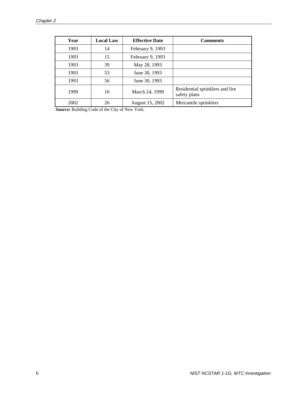| Year | <b>Local Law</b> | <b>Effective Date</b> | <b>Comments</b>                                 |
|------|------------------|-----------------------|-------------------------------------------------|
| 1993 | 14               | February 9, 1993      |                                                 |
| 1993 | 15               | February 9, 1993      |                                                 |
| 1993 | 39               | May 28, 1993          |                                                 |
| 1993 | 53               | June 30, 1993         |                                                 |
| 1993 | 56               | June 30, 1993         |                                                 |
| 1999 | 10               | March 24, 1999        | Residential sprinklers and fire<br>safety plans |
| 2002 | 26               | August 15, 2002       | Mercantile sprinklers                           |

**Source:** Building Code of the City of New York.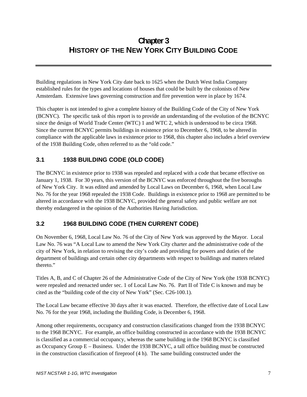### **Chapter 3 HISTORY OF THE NEW YORK CITY BUILDING CODE**

Building regulations in New York City date back to 1625 when the Dutch West India Company established rules for the types and locations of houses that could be built by the colonists of New Amsterdam. Extensive laws governing construction and fire prevention were in place by 1674.

This chapter is not intended to give a complete history of the Building Code of the City of New York (BCNYC). The specific task of this report is to provide an understanding of the evolution of the BCNYC since the design of World Trade Center (WTC) 1 and WTC 2, which is understood to be circa 1968. Since the current BCNYC permits buildings in existence prior to December 6, 1968, to be altered in compliance with the applicable laws in existence prior to 1968, this chapter also includes a brief overview of the 1938 Building Code, often referred to as the "old code."

### **3.1 1938 BUILDING CODE (OLD CODE)**

The BCNYC in existence prior to 1938 was repealed and replaced with a code that became effective on January 1, 1938. For 30 years, this version of the BCNYC was enforced throughout the five boroughs of New York City. It was edited and amended by Local Laws on December 6, 1968, when Local Law No. 76 for the year 1968 repealed the 1938 Code. Buildings in existence prior to 1968 are permitted to be altered in accordance with the 1938 BCNYC, provided the general safety and public welfare are not thereby endangered in the opinion of the Authorities Having Jurisdiction.

### **3.2 1968 BUILDING CODE (THEN CURRENT CODE)**

On November 6, 1968, Local Law No. 76 of the City of New York was approved by the Mayor. Local Law No. 76 was "A Local Law to amend the New York City charter and the administrative code of the city of New York, in relation to revising the city's code and providing for powers and duties of the department of buildings and certain other city departments with respect to buildings and matters related thereto."

Titles A, B, and C of Chapter 26 of the Administrative Code of the City of New York (the 1938 BCNYC) were repealed and reenacted under sec. 1 of Local Law No. 76. Part II of Title C is known and may be cited as the "building code of the city of New York" (Sec. C26-100.1).

The Local Law became effective 30 days after it was enacted. Therefore, the effective date of Local Law No. 76 for the year 1968, including the Building Code, is December 6, 1968.

Among other requirements, occupancy and construction classifications changed from the 1938 BCNYC to the 1968 BCNYC. For example, an office building constructed in accordance with the 1938 BCNYC is classified as a commercial occupancy, whereas the same building in the 1968 BCNYC is classified as Occupancy Group E – Business. Under the 1938 BCNYC, a tall office building must be constructed in the construction classification of fireproof  $(4 h)$ . The same building constructed under the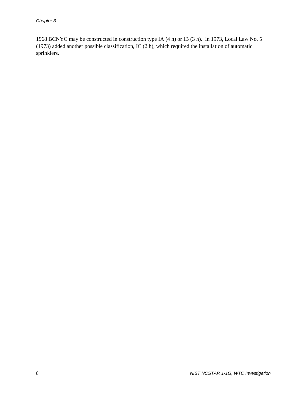1968 BCNYC may be constructed in construction type IA (4 h) or IB (3 h). In 1973, Local Law No. 5 (1973) added another possible classification, IC (2 h), which required the installation of automatic sprinklers.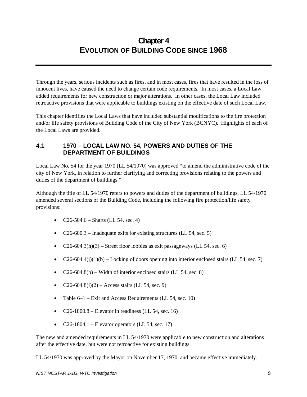### **Chapter 4 EVOLUTION OF BUILDING CODE SINCE 1968**

Through the years, serious incidents such as fires, and in most cases, fires that have resulted in the loss of innocent lives, have caused the need to change certain code requirements. In most cases, a Local Law added requirements for new construction or major alterations. In other cases, the Local Law included retroactive provisions that were applicable to buildings existing on the effective date of such Local Law.

This chapter identifies the Local Laws that have included substantial modifications to the fire protection and/or life safety provisions of Building Code of the City of New York (BCNYC). Highlights of each of the Local Laws are provided.

#### **4.1 1970 – LOCAL LAW NO. 54, POWERS AND DUTIES OF THE DEPARTMENT OF BUILDINGS**

Local Law No. 54 for the year 1970 (LL 54/1970) was approved "to amend the administrative code of the city of New York, in relation to further clarifying and correcting provisions relating to the powers and duties of the department of buildings."

Although the title of LL 54/1970 refers to powers and duties of the department of buildings, LL 54/1970 amended several sections of the Building Code, including the following fire protection/life safety provisions:

- $C26-504.6$  Shafts (LL 54, sec. 4)
- $C26-600.3$  Inadequate exits for existing structures (LL 54, sec. 5)
- C26-604.3(h)(3) Street floor lobbies as exit passageways (LL 54, sec. 6)
- C26-604.4(j)(1)(b) Locking of doors opening into interior enclosed stairs (LL 54, sec. 7)
- $C26-604.8(b)$  Width of interior enclosed stairs (LL 54, sec. 8)
- $C26-604.8(i)(2) Access\; status (LL 54, \; sec. 9)$
- Table  $6-1$  Exit and Access Requirements (LL 54, sec. 10)
- $C26-1800.8$  Elevator in readiness (LL 54, sec. 16)
- $C26-1804.1$  Elevator operators (LL 54, sec. 17)

The new and amended requirements in LL 54/1970 were applicable to new construction and alterations after the effective date, but were not retroactive for existing buildings.

LL 54/1970 was approved by the Mayor on November 17, 1970, and became effective immediately.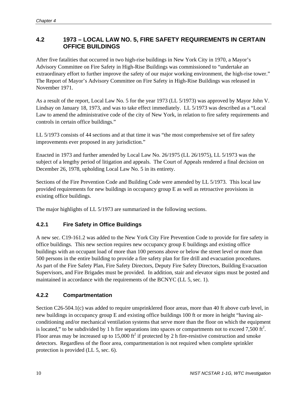#### **4.2 1973 – LOCAL LAW NO. 5, FIRE SAFETY REQUIREMENTS IN CERTAIN OFFICE BUILDINGS**

After five fatalities that occurred in two high-rise buildings in New York City in 1970, a Mayor's Advisory Committee on Fire Safety in High-Rise Buildings was commissioned to "undertake an extraordinary effort to further improve the safety of our major working environment, the high-rise tower." The Report of Mayor's Advisory Committee on Fire Safety in High-Rise Buildings was released in November 1971.

As a result of the report, Local Law No. 5 for the year 1973 (LL 5/1973) was approved by Mayor John V. Lindsay on January 18, 1973, and was to take effect immediately. LL 5/1973 was described as a "Local Law to amend the administrative code of the city of New York, in relation to fire safety requirements and controls in certain office buildings."

LL 5/1973 consists of 44 sections and at that time it was "the most comprehensive set of fire safety improvements ever proposed in any jurisdiction."

Enacted in 1973 and further amended by Local Law No. 26/1975 (LL 26/1975), LL 5/1973 was the subject of a lengthy period of litigation and appeals. The Court of Appeals rendered a final decision on December 26, 1978, upholding Local Law No. 5 in its entirety.

Sections of the Fire Prevention Code and Building Code were amended by LL 5/1973. This local law provided requirements for new buildings in occupancy group E as well as retroactive provisions in existing office buildings.

The major highlights of LL 5/1973 are summarized in the following sections.

### **4.2.1 Fire Safety in Office Buildings**

A new sec. C19-161.2 was added to the New York City Fire Prevention Code to provide for fire safety in office buildings. This new section requires new occupancy group E buildings and existing office buildings with an occupant load of more than 100 persons above or below the street level or more than 500 persons in the entire building to provide a fire safety plan for fire drill and evacuation procedures. As part of the Fire Safety Plan, Fire Safety Directors, Deputy Fire Safety Directors, Building Evacuation Supervisors, and Fire Brigades must be provided. In addition, stair and elevator signs must be posted and maintained in accordance with the requirements of the BCNYC (LL 5, sec. 1).

#### **4.2.2 Compartmentation**

Section C26-504.1(c) was added to require unsprinklered floor areas, more than 40 ft above curb level, in new buildings in occupancy group E and existing office buildings 100 ft or more in height "having airconditioning and/or mechanical ventilation systems that serve more than the floor on which the equipment is located," to be subdivided by 1 h fire separations into spaces or compartments not to exceed 7,500 ft<sup>2</sup>. Floor areas may be increased up to  $15,000$  ft<sup>2</sup> if protected by 2 h fire-resistive construction and smoke detectors. Regardless of the floor area, compartmentation is not required when complete sprinkler protection is provided (LL 5, sec. 6).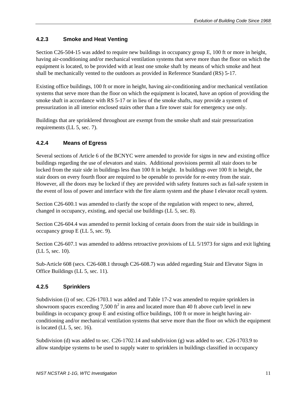#### **4.2.3 Smoke and Heat Venting**

Section C26-504-15 was added to require new buildings in occupancy group E, 100 ft or more in height, having air-conditioning and/or mechanical ventilation systems that serve more than the floor on which the equipment is located, to be provided with at least one smoke shaft by means of which smoke and heat shall be mechanically vented to the outdoors as provided in Reference Standard (RS) 5-17.

Existing office buildings, 100 ft or more in height, having air-conditioning and/or mechanical ventilation systems that serve more than the floor on which the equipment is located, have an option of providing the smoke shaft in accordance with RS 5-17 or in lieu of the smoke shafts, may provide a system of pressurization in all interior enclosed stairs other than a fire tower stair for emergency use only.

Buildings that are sprinklered throughout are exempt from the smoke shaft and stair pressurization requirements (LL 5, sec. 7).

#### **4.2.4 Means of Egress**

Several sections of Article 6 of the BCNYC were amended to provide for signs in new and existing office buildings regarding the use of elevators and stairs. Additional provisions permit all stair doors to be locked from the stair side in buildings less than 100 ft in height. In buildings over 100 ft in height, the stair doors on every fourth floor are required to be openable to provide for re-entry from the stair. However, all the doors may be locked if they are provided with safety features such as fail-safe system in the event of loss of power and interface with the fire alarm system and the phase I elevator recall system.

Section C26-600.1 was amended to clarify the scope of the regulation with respect to new, altered, changed in occupancy, existing, and special use buildings (LL 5, sec. 8).

Section C26-604.4 was amended to permit locking of certain doors from the stair side in buildings in occupancy group E (LL 5, sec. 9).

Section C26-607.1 was amended to address retroactive provisions of LL 5/1973 for signs and exit lighting (LL 5, sec. 10).

Sub-Article 608 (secs. C26-608.1 through C26-608.7) was added regarding Stair and Elevator Signs in Office Buildings (LL 5, sec. 11).

#### **4.2.5 Sprinklers**

Subdivision (i) of sec. C26-1703.1 was added and Table 17-2 was amended to require sprinklers in showroom spaces exceeding 7,500 ft<sup>2</sup> in area and located more than 40 ft above curb level in new buildings in occupancy group E and existing office buildings, 100 ft or more in height having airconditioning and/or mechanical ventilation systems that serve more than the floor on which the equipment is located (LL 5, sec. 16).

Subdivision (d) was added to sec. C26-1702.14 and subdivision (g) was added to sec. C26-1703.9 to allow standpipe systems to be used to supply water to sprinklers in buildings classified in occupancy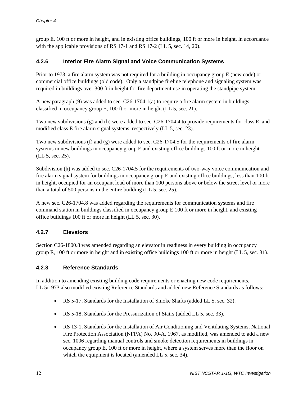group E, 100 ft or more in height, and in existing office buildings, 100 ft or more in height, in accordance with the applicable provisions of RS 17-1 and RS 17-2 (LL 5, sec. 14, 20).

#### **4.2.6 Interior Fire Alarm Signal and Voice Communication Systems**

Prior to 1973, a fire alarm system was not required for a building in occupancy group E (new code) or commercial office buildings (old code). Only a standpipe fireline telephone and signaling system was required in buildings over 300 ft in height for fire department use in operating the standpipe system.

A new paragraph (9) was added to sec. C26-1704.1(a) to require a fire alarm system in buildings classified in occupancy group E, 100 ft or more in height (LL 5, sec. 21).

Two new subdivisions (g) and (h) were added to sec.  $C26-1704.4$  to provide requirements for class E and modified class E fire alarm signal systems, respectively (LL 5, sec. 23).

Two new subdivisions (f) and (g) were added to sec. C26-1704.5 for the requirements of fire alarm systems in new buildings in occupancy group E and existing office buildings 100 ft or more in height (LL 5, sec. 25).

Subdivision (h) was added to sec. C26-1704.5 for the requirements of two-way voice communication and fire alarm signal system for buildings in occupancy group E and existing office buildings, less than 100 ft in height, occupied for an occupant load of more than 100 persons above or below the street level or more than a total of 500 persons in the entire building (LL 5, sec. 25).

A new sec. C26-1704.8 was added regarding the requirements for communication systems and fire command station in buildings classified in occupancy group E 100 ft or more in height, and existing office buildings 100 ft or more in height (LL 5, sec. 30).

#### **4.2.7 Elevators**

Section C26-1800.8 was amended regarding an elevator in readiness in every building in occupancy group E, 100 ft or more in height and in existing office buildings 100 ft or more in height (LL 5, sec. 31).

#### **4.2.8 Reference Standards**

In addition to amending existing building code requirements or enacting new code requirements, LL 5/1973 also modified existing Reference Standards and added new Reference Standards as follows:

- RS 5-17, Standards for the Installation of Smoke Shafts (added LL 5, sec. 32).
- RS 5-18, Standards for the Pressurization of Stairs (added LL 5, sec. 33).
- RS 13-1, Standards for the Installation of Air Conditioning and Ventilating Systems, National Fire Protection Association (NFPA) No. 90-A, 1967, as modified, was amended to add a new sec. 1006 regarding manual controls and smoke detection requirements in buildings in occupancy group E, 100 ft or more in height, where a system serves more than the floor on which the equipment is located (amended LL 5, sec. 34).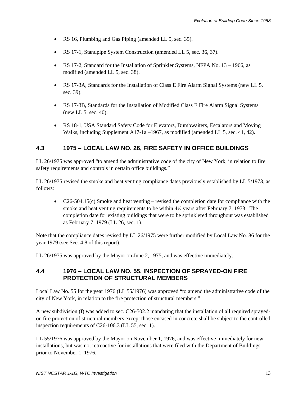- RS 16, Plumbing and Gas Piping (amended LL 5, sec. 35).
- RS 17-1, Standpipe System Construction (amended LL 5, sec. 36, 37).
- RS 17-2, Standard for the Installation of Sprinkler Systems, NFPA No. 13 1966, as modified (amended LL 5, sec. 38).
- RS 17-3A, Standards for the Installation of Class E Fire Alarm Signal Systems (new LL 5, sec. 39).
- RS 17-3B, Standards for the Installation of Modified Class E Fire Alarm Signal Systems (new LL 5, sec. 40).
- RS 18-1, USA Standard Safety Code for Elevators, Dumbwaiters, Escalators and Moving Walks, including Supplement A17-1a –1967, as modified (amended LL 5, sec. 41, 42).

#### **4.3 1975 – LOCAL LAW NO. 26, FIRE SAFETY IN OFFICE BUILDINGS**

LL 26/1975 was approved "to amend the administrative code of the city of New York, in relation to fire safety requirements and controls in certain office buildings."

LL 26/1975 revised the smoke and heat venting compliance dates previously established by LL 5/1973, as follows:

• C26-504.15(c) Smoke and heat venting – revised the completion date for compliance with the smoke and heat venting requirements to be within 4½ years after February 7, 1973. The completion date for existing buildings that were to be sprinklered throughout was established as February 7, 1979 (LL 26, sec. 1).

Note that the compliance dates revised by LL 26/1975 were further modified by Local Law No. 86 for the year 1979 (see Sec. 4.8 of this report).

LL 26/1975 was approved by the Mayor on June 2, 1975, and was effective immediately.

#### **4.4 1976 – LOCAL LAW NO. 55, INSPECTION OF SPRAYED-ON FIRE PROTECTION OF STRUCTURAL MEMBERS**

Local Law No. 55 for the year 1976 (LL 55/1976) was approved "to amend the administrative code of the city of New York, in relation to the fire protection of structural members."

A new subdivision (f) was added to sec. C26-502.2 mandating that the installation of all required sprayedon fire protection of structural members except those encased in concrete shall be subject to the controlled inspection requirements of C26-106.3 (LL 55, sec. 1).

LL 55/1976 was approved by the Mayor on November 1, 1976, and was effective immediately for new installations, but was not retroactive for installations that were filed with the Department of Buildings prior to November 1, 1976.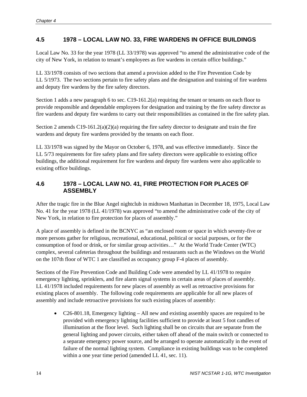### **4.5 1978 – LOCAL LAW NO. 33, FIRE WARDENS IN OFFICE BUILDINGS**

Local Law No. 33 for the year 1978 (LL 33/1978) was approved "to amend the administrative code of the city of New York, in relation to tenant's employees as fire wardens in certain office buildings."

LL 33/1978 consists of two sections that amend a provision added to the Fire Prevention Code by LL 5/1973. The two sections pertain to fire safety plans and the designation and training of fire wardens and deputy fire wardens by the fire safety directors.

Section 1 adds a new paragraph 6 to sec. C19-161.2(a) requiring the tenant or tenants on each floor to provide responsible and dependable employees for designation and training by the fire safety director as fire wardens and deputy fire wardens to carry out their responsibilities as contained in the fire safety plan.

Section 2 amends  $C19-161.2(a)(2)(a)$  requiring the fire safety director to designate and train the fire wardens and deputy fire wardens provided by the tenants on each floor.

LL 33/1978 was signed by the Mayor on October 6, 1978, and was effective immediately. Since the LL 5/73 requirements for fire safety plans and fire safety directors were applicable to existing office buildings, the additional requirement for fire wardens and deputy fire wardens were also applicable to existing office buildings.

#### **4.6 1978 – LOCAL LAW NO. 41, FIRE PROTECTION FOR PLACES OF ASSEMBLY**

After the tragic fire in the Blue Angel nightclub in midtown Manhattan in December 18, 1975, Local Law No. 41 for the year 1978 (LL 41/1978) was approved "to amend the administrative code of the city of New York, in relation to fire protection for places of assembly."

A place of assembly is defined in the BCNYC as "an enclosed room or space in which seventy-five or more persons gather for religious, recreational, educational, political or social purposes, or for the consumption of food or drink, or for similar group activities…" At the World Trade Center (WTC) complex, several cafeterias throughout the buildings and restaurants such as the Windows on the World on the 107th floor of WTC 1 are classified as occupancy group F-4 places of assembly.

Sections of the Fire Prevention Code and Building Code were amended by LL 41/1978 to require emergency lighting, sprinklers, and fire alarm signal systems in certain areas of places of assembly. LL 41/1978 included requirements for new places of assembly as well as retroactive provisions for existing places of assembly. The following code requirements are applicable for all new places of assembly and include retroactive provisions for such existing places of assembly:

• C26-801.18, Emergency lighting – All new and existing assembly spaces are required to be provided with emergency lighting facilities sufficient to provide at least 5 foot candles of illumination at the floor level. Such lighting shall be on circuits that are separate from the general lighting and power circuits, either taken off ahead of the main switch or connected to a separate emergency power source, and be arranged to operate automatically in the event of failure of the normal lighting system. Compliance in existing buildings was to be completed within a one year time period (amended LL 41, sec. 11).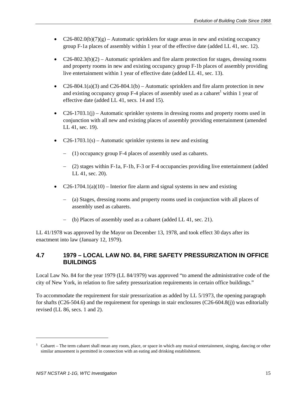- C26-802.0(b)(7)(g) Automatic sprinklers for stage areas in new and existing occupancy group F-1a places of assembly within 1 year of the effective date (added LL 41, sec. 12).
- $C26-802.3(b)(2)$  Automatic sprinklers and fire alarm protection for stages, dressing rooms and property rooms in new and existing occupancy group F-1b places of assembly providing live entertainment within 1 year of effective date (added LL 41, sec. 13).
- C26-804.1(a)(3) and C26-804.1(b) Automatic sprinklers and fire alarm protection in new and existing occupancy group F-4 places of assembly used as a cabaret<sup>1</sup> within 1 year of effective date (added LL 41, secs. 14 and 15).
- $C26-1703.1(j)$  Automatic sprinkler systems in dressing rooms and property rooms used in conjunction with all new and existing places of assembly providing entertainment (amended LL 41, sec. 19).
- $C26-1703.1(s)$  Automatic sprinkler systems in new and existing
	- − (1) occupancy group F-4 places of assembly used as cabarets.
	- − (2) stages within F-1a, F-1b, F-3 or F-4 occupancies providing live entertainment (added LL 41, sec. 20).
- $C26-1704.1(a)(10)$  Interior fire alarm and signal systems in new and existing
	- − (a) Stages, dressing rooms and property rooms used in conjunction with all places of assembly used as cabarets.
	- − (b) Places of assembly used as a cabaret (added LL 41, sec. 21).

LL 41/1978 was approved by the Mayor on December 13, 1978, and took effect 30 days after its enactment into law (January 12, 1979).

#### **4.7 1979 – LOCAL LAW NO. 84, FIRE SAFETY PRESSURIZATION IN OFFICE BUILDINGS**

Local Law No. 84 for the year 1979 (LL 84/1979) was approved "to amend the administrative code of the city of New York, in relation to fire safety pressurization requirements in certain office buildings."

To accommodate the requirement for stair pressurization as added by LL 5/1973, the opening paragraph for shafts (C26-504.6) and the requirement for openings in stair enclosures (C26-604.8(j)) was editorially revised (LL 86, secs. 1 and 2).

l

<sup>&</sup>lt;sup>1</sup> Cabaret – The term cabaret shall mean any room, place, or space in which any musical entertainment, singing, dancing or other similar amusement is permitted in connection with an eating and drinking establishment.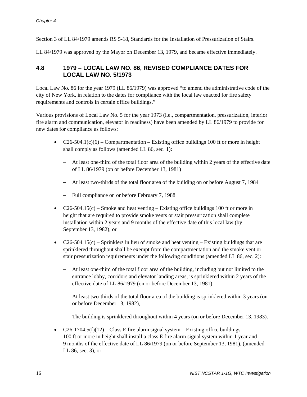Section 3 of LL 84/1979 amends RS 5-18, Standards for the Installation of Pressurization of Stairs.

LL 84/1979 was approved by the Mayor on December 13, 1979, and became effective immediately.

#### **4.8 1979 – LOCAL LAW NO. 86, REVISED COMPLIANCE DATES FOR LOCAL LAW NO. 5/1973**

Local Law No. 86 for the year 1979 (LL 86/1979) was approved "to amend the administrative code of the city of New York, in relation to the dates for compliance with the local law enacted for fire safety requirements and controls in certain office buildings."

Various provisions of Local Law No. 5 for the year 1973 (i.e., compartmentation, pressurization, interior fire alarm and communication, elevator in readiness) have been amended by LL 86/1979 to provide for new dates for compliance as follows:

- $C26-504.1(c)(6)$  Compartmentation Existing office buildings 100 ft or more in height shall comply as follows (amended LL 86, sec. 1):
	- − At least one-third of the total floor area of the building within 2 years of the effective date of LL 86/1979 (on or before December 13, 1981)
	- − At least two-thirds of the total floor area of the building on or before August 7, 1984
	- Full compliance on or before February 7, 1988
- C26-504.15(c) Smoke and heat venting Existing office buildings 100 ft or more in height that are required to provide smoke vents or stair pressurization shall complete installation within 2 years and 9 months of the effective date of this local law (by September 13, 1982), or
- C26-504.15(c) Sprinklers in lieu of smoke and heat venting Existing buildings that are sprinklered throughout shall be exempt from the compartmentation and the smoke vent or stair pressurization requirements under the following conditions (amended LL 86, sec. 2):
	- At least one-third of the total floor area of the building, including but not limited to the entrance lobby, corridors and elevator landing areas, is sprinklered within 2 years of the effective date of LL 86/1979 (on or before December 13, 1981),
	- At least two-thirds of the total floor area of the building is sprinklered within 3 years (on or before December 13, 1982),
	- The building is sprinklered throughout within 4 years (on or before December 13, 1983).
- C26-1704.5(f)(12) Class E fire alarm signal system Existing office buildings 100 ft or more in height shall install a class E fire alarm signal system within 1 year and 9 months of the effective date of LL 86/1979 (on or before September 13, 1981), (amended LL 86, sec. 3), or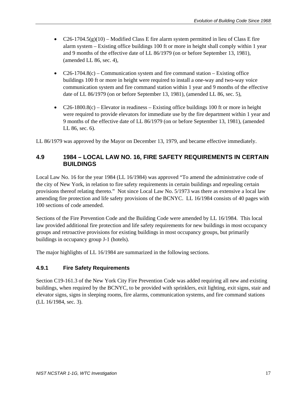- C26-1704.5(g)(10) Modified Class E fire alarm system permitted in lieu of Class E fire alarm system – Existing office buildings 100 ft or more in height shall comply within 1 year and 9 months of the effective date of LL 86/1979 (on or before September 13, 1981), (amended LL 86, sec. 4),
- $C26-1704.8(c)$  Communication system and fire command station Existing office buildings 100 ft or more in height were required to install a one-way and two-way voice communication system and fire command station within 1 year and 9 months of the effective date of LL 86/1979 (on or before September 13, 1981), (amended LL 86, sec. 5),
- C26-1800.8(c) Elevator in readiness Existing office buildings 100 ft or more in height were required to provide elevators for immediate use by the fire department within 1 year and 9 months of the effective date of LL 86/1979 (on or before September 13, 1981), (amended LL 86, sec. 6).

LL 86/1979 was approved by the Mayor on December 13, 1979, and became effective immediately.

### **4.9 1984 – LOCAL LAW NO. 16, FIRE SAFETY REQUIREMENTS IN CERTAIN BUILDINGS**

Local Law No. 16 for the year 1984 (LL 16/1984) was approved "To amend the administrative code of the city of New York, in relation to fire safety requirements in certain buildings and repealing certain provisions thereof relating thereto." Not since Local Law No. 5/1973 was there as extensive a local law amending fire protection and life safety provisions of the BCNYC. LL 16/1984 consists of 40 pages with 100 sections of code amended.

Sections of the Fire Prevention Code and the Building Code were amended by LL 16/1984. This local law provided additional fire protection and life safety requirements for new buildings in most occupancy groups and retroactive provisions for existing buildings in most occupancy groups, but primarily buildings in occupancy group J-1 (hotels).

The major highlights of LL 16/1984 are summarized in the following sections.

### **4.9.1 Fire Safety Requirements**

Section C19-161.3 of the New York City Fire Prevention Code was added requiring all new and existing buildings, when required by the BCNYC, to be provided with sprinklers, exit lighting, exit signs, stair and elevator signs, signs in sleeping rooms, fire alarms, communication systems, and fire command stations (LL 16/1984, sec. 3).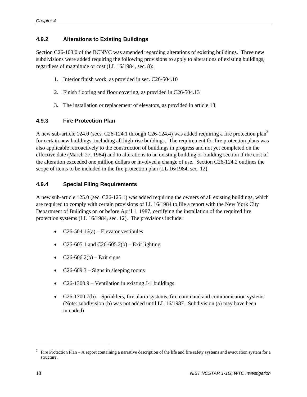#### **4.9.2 Alterations to Existing Buildings**

Section C26-103.0 of the BCNYC was amended regarding alterations of existing buildings. Three new subdivisions were added requiring the following provisions to apply to alterations of existing buildings, regardless of magnitude or cost (LL 16/1984, sec. 8):

- 1. Interior finish work, as provided in sec. C26-504.10
- 2. Finish flooring and floor covering, as provided in C26-504.13
- 3. The installation or replacement of elevators, as provided in article 18

#### **4.9.3 Fire Protection Plan**

A new sub-article 124.0 (secs. C26-124.1 through C26-124.4) was added requiring a fire protection plan2 for certain new buildings, including all high-rise buildings. The requirement for fire protection plans was also applicable retroactively to the construction of buildings in progress and not yet completed on the effective date (March 27, 1984) and to alterations to an existing building or building section if the cost of the alteration exceeded one million dollars or involved a change of use. Section C26-124.2 outlines the scope of items to be included in the fire protection plan (LL 16/1984, sec. 12).

#### **4.9.4 Special Filing Requirements**

A new sub-article 125.0 (sec. C26-125.1) was added requiring the owners of all existing buildings, which are required to comply with certain provisions of LL 16/1984 to file a report with the New York City Department of Buildings on or before April 1, 1987, certifying the installation of the required fire protection systems (LL 16/1984, sec. 12). The provisions include:

- $C26-504.16(a)$  Elevator vestibules
- C26-605.1 and C26-605.2(b) Exit lighting
- $C26-606.2(b) Exist signs$
- $C26-609.3 -$  Signs in sleeping rooms
- C26-1300.9 Ventilation in existing J-1 buildings
- C26-1700.7(b) Sprinklers, fire alarm systems, fire command and communication systems (Note: subdivision (b) was not added until LL 16/1987. Subdivision (a) may have been intended)

1

<sup>&</sup>lt;sup>2</sup> Fire Protection Plan – A report containing a narrative description of the life and fire safety systems and evacuation system for a structure.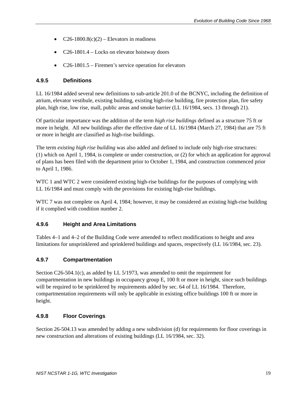- $C26-1800.8(c)(2)$  Elevators in readiness
- C26-1801.4 Locks on elevator hoistway doors
- C26-1801.5 Firemen's service operation for elevators

#### **4.9.5 Definitions**

LL 16/1984 added several new definitions to sub-article 201.0 of the BCNYC, including the definition of atrium, elevator vestibule, existing building, existing high-rise building, fire protection plan, fire safety plan, high rise, low rise, mall, public areas and smoke barrier (LL 16/1984, secs. 13 through 21).

Of particular importance was the addition of the term *high rise buildings* defined as a structure 75 ft or more in height. All new buildings after the effective date of LL 16/1984 (March 27, 1984) that are 75 ft or more in height are classified as high-rise buildings.

The term *existing high rise building* was also added and defined to include only high-rise structures: (1) which on April 1, 1984, is complete or under construction, or (2) for which an application for approval of plans has been filed with the department prior to October 1, 1984, and construction commenced prior to April 1, 1986.

WTC 1 and WTC 2 were considered existing high-rise buildings for the purposes of complying with LL 16/1984 and must comply with the provisions for existing high-rise buildings.

WTC 7 was not complete on April 4, 1984; however, it may be considered an existing high-rise building if it complied with condition number 2.

#### **4.9.6 Height and Area Limitations**

Tables 4–1 and 4–2 of the Building Code were amended to reflect modifications to height and area limitations for unsprinklered and sprinklered buildings and spaces, respectively (LL 16/1984, sec. 23).

#### **4.9.7 Compartmentation**

Section C26-504.1(c), as added by LL 5/1973, was amended to omit the requirement for compartmentation in new buildings in occupancy group E, 100 ft or more in height, since such buildings will be required to be sprinklered by requirements added by sec. 64 of LL 16/1984. Therefore, compartmentation requirements will only be applicable in existing office buildings 100 ft or more in height.

#### **4.9.8 Floor Coverings**

Section 26-504.13 was amended by adding a new subdivision (d) for requirements for floor coverings in new construction and alterations of existing buildings (LL 16/1984, sec. 32).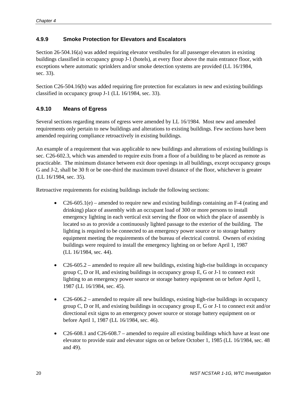#### **4.9.9 Smoke Protection for Elevators and Escalators**

Section 26-504.16(a) was added requiring elevator vestibules for all passenger elevators in existing buildings classified in occupancy group J-1 (hotels), at every floor above the main entrance floor, with exceptions where automatic sprinklers and/or smoke detection systems are provided (LL 16/1984, sec. 33).

Section C26-504.16(b) was added requiring fire protection for escalators in new and existing buildings classified in occupancy group J-1 (LL 16/1984, sec. 33).

#### **4.9.10 Means of Egress**

Several sections regarding means of egress were amended by LL 16/1984. Most new and amended requirements only pertain to new buildings and alterations to existing buildings. Few sections have been amended requiring compliance retroactively in existing buildings.

An example of a requirement that was applicable to new buildings and alterations of existing buildings is sec. C26-602.3, which was amended to require exits from a floor of a building to be placed as remote as practicable. The minimum distance between exit door openings in all buildings, except occupancy groups G and J-2, shall be 30 ft or be one-third the maximum travel distance of the floor, whichever is greater (LL 16/1984, sec. 35).

Retroactive requirements for existing buildings include the following sections:

- $C26-605.1(e)$  amended to require new and existing buildings containing an F-4 (eating and drinking) place of assembly with an occupant load of 300 or more persons to install emergency lighting in each vertical exit serving the floor on which the place of assembly is located so as to provide a continuously lighted passage to the exterior of the building. The lighting is required to be connected to an emergency power source or to storage battery equipment meeting the requirements of the bureau of electrical control. Owners of existing buildings were required to install the emergency lighting on or before April 1, 1987 (LL 16/1984, sec. 44).
- C26-605.2 amended to require all new buildings, existing high-rise buildings in occupancy group C, D or H, and existing buildings in occupancy group E, G or J-1 to connect exit lighting to an emergency power source or storage battery equipment on or before April 1, 1987 (LL 16/1984, sec. 45).
- C26-606.2 amended to require all new buildings, existing high-rise buildings in occupancy group C, D or H, and existing buildings in occupancy group E, G or J-1 to connect exit and/or directional exit signs to an emergency power source or storage battery equipment on or before April 1, 1987 (LL 16/1984, sec. 46).
- C26-608.1 and C26-608.7 amended to require all existing buildings which have at least one elevator to provide stair and elevator signs on or before October 1, 1985 (LL 16/1984, sec. 48 and 49).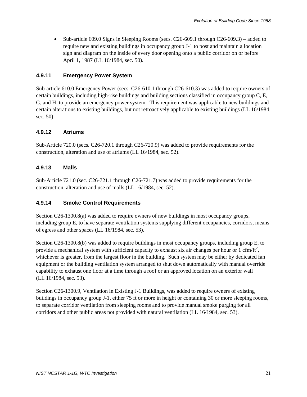• Sub-article 609.0 Signs in Sleeping Rooms (secs. C26-609.1 through C26-609.3) – added to require new and existing buildings in occupancy group J-1 to post and maintain a location sign and diagram on the inside of every door opening onto a public corridor on or before April 1, 1987 (LL 16/1984, sec. 50).

#### **4.9.11 Emergency Power System**

Sub-article 610.0 Emergency Power (secs. C26-610.1 through C26-610.3) was added to require owners of certain buildings, including high-rise buildings and building sections classified in occupancy group C, E, G, and H, to provide an emergency power system. This requirement was applicable to new buildings and certain alterations to existing buildings, but not retroactively applicable to existing buildings (LL 16/1984, sec. 50).

#### **4.9.12 Atriums**

Sub-Article 720.0 (secs. C26-720.1 through C26-720.9) was added to provide requirements for the construction, alteration and use of atriums (LL 16/1984, sec. 52).

#### **4.9.13 Malls**

Sub-Article 721.0 (sec. C26-721.1 through C26-721.7) was added to provide requirements for the construction, alteration and use of malls (LL 16/1984, sec. 52).

### **4.9.14 Smoke Control Requirements**

Section C26-1300.8(a) was added to require owners of new buildings in most occupancy groups, including group E, to have separate ventilation systems supplying different occupancies, corridors, means of egress and other spaces (LL 16/1984, sec. 53).

Section C26-1300.8(b) was added to require buildings in most occupancy groups, including group E, to provide a mechanical system with sufficient capacity to exhaust six air changes per hour or 1 cfm/ft<sup>2</sup>, whichever is greater, from the largest floor in the building. Such system may be either by dedicated fan equipment or the building ventilation system arranged to shut down automatically with manual override capability to exhaust one floor at a time through a roof or an approved location on an exterior wall (LL 16/1984, sec. 53).

Section C26-1300.9, Ventilation in Existing J-1 Buildings, was added to require owners of existing buildings in occupancy group J-1, either 75 ft or more in height or containing 30 or more sleeping rooms, to separate corridor ventilation from sleeping rooms and to provide manual smoke purging for all corridors and other public areas not provided with natural ventilation (LL 16/1984, sec. 53).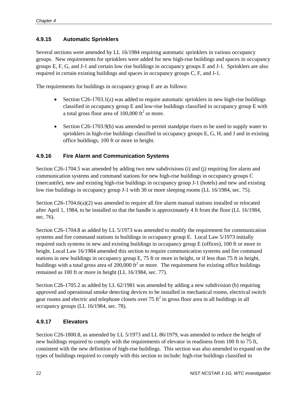#### **4.9.15 Automatic Sprinklers**

Several sections were amended by LL 16/1984 requiring automatic sprinklers in various occupancy groups. New requirements for sprinklers were added for new high-rise buildings and spaces in occupancy groups E, F, G, and J-1 and certain low rise buildings in occupancy groups E and J-1. Sprinklers are also required in certain existing buildings and spaces in occupancy groups C, F, and J-1.

The requirements for buildings in occupancy group E are as follows:

- Section  $C26-1703.1(z)$  was added to require automatic sprinklers in new high-rise buildings classified in occupancy group E and low-rise buildings classified in occupancy group E with a total gross floor area of  $100,000$  ft<sup>2</sup> or more.
- Section C26-1703.9(h) was amended to permit standpipe risers to be used to supply water to sprinklers in high-rise buildings classified in occupancy groups E, G, H, and J and in existing office buildings, 100 ft or more in height.

#### **4.9.16 Fire Alarm and Communication Systems**

Section C26-1704.5 was amended by adding two new subdivisions (i) and (j) requiring fire alarm and communication systems and command stations for new high-rise buildings in occupancy groups C (mercantile), new and existing high-rise buildings in occupancy group J-1 (hotels) and new and existing low rise buildings in occupancy group J-1 with 30 or more sleeping rooms (LL 16/1984, sec. 75).

Section C26-1704.6(a)(2) was amended to require all fire alarm manual stations installed or relocated after April 1, 1984, to be installed so that the handle is approximately 4 ft from the floor (LL 16/1984, sec. 76).

Section C26-1704.8 as added by LL 5/1973 was amended to modify the requirement for communication systems and fire command stations in buildings in occupancy group E. Local Law 5/1973 initially required such systems in new and existing buildings in occupancy group E (offices), 100 ft or more in height. Local Law 16/1984 amended this section to require communication systems and fire command stations in new buildings in occupancy group E, 75 ft or more in height, or if less than 75 ft in height, buildings with a total gross area of 200,000  $\text{ft}^2$  or more. The requirement for existing office buildings remained as 100 ft or more in height (LL 16/1984, sec. 77).

Section C26-1705.2 as added by LL 62/1981 was amended by adding a new subdivision (b) requiring approved and operational smoke detecting devices to be installed in mechanical rooms, electrical switch gear rooms and electric and telephone closets over 75 ft<sup>2</sup> in gross floor area in all buildings in all occupancy groups (LL 16/1984, sec. 78).

#### **4.9.17 Elevators**

Section C26-1800.8, as amended by LL 5/1973 and LL 86/1979, was amended to reduce the height of new buildings required to comply with the requirements of elevator in readiness from 100 ft to 75 ft, consistent with the new definition of high-rise buildings. This section was also amended to expand on the types of buildings required to comply with this section to include: high-rise buildings classified in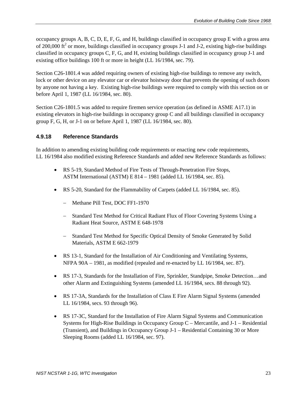occupancy groups A, B, C, D, E, F, G, and H, buildings classified in occupancy group E with a gross area of 200,000 ft<sup>2</sup> or more, buildings classified in occupancy groups J-1 and J-2, existing high-rise buildings classified in occupancy groups C, F, G, and H, existing buildings classified in occupancy group J-1 and existing office buildings 100 ft or more in height (LL 16/1984, sec. 79).

Section C26-1801.4 was added requiring owners of existing high-rise buildings to remove any switch, lock or other device on any elevator car or elevator hoistway door that prevents the opening of such doors by anyone not having a key. Existing high-rise buildings were required to comply with this section on or before April 1, 1987 (LL 16/1984, sec. 80).

Section C26-1801.5 was added to require firemen service operation (as defined in ASME A17.1) in existing elevators in high-rise buildings in occupancy group C and all buildings classified in occupancy group F, G, H, or J-1 on or before April 1, 1987 (LL 16/1984, sec. 80).

#### **4.9.18 Reference Standards**

In addition to amending existing building code requirements or enacting new code requirements, LL 16/1984 also modified existing Reference Standards and added new Reference Standards as follows:

- RS 5-19, Standard Method of Fire Tests of Through-Penetration Fire Stops, ASTM International (ASTM) E 814 – 1981 (added LL 16/1984, sec. 85).
- RS 5-20, Standard for the Flammability of Carpets (added LL 16/1984, sec. 85).
	- − Methane Pill Test, DOC FF1-1970
	- − Standard Test Method for Critical Radiant Flux of Floor Covering Systems Using a Radiant Heat Source, ASTM E 648-1978
	- − Standard Test Method for Specific Optical Density of Smoke Generated by Solid Materials, ASTM E 662-1979
- RS 13-1, Standard for the Installation of Air Conditioning and Ventilating Systems, NFPA 90A – 1981, as modified (repealed and re-enacted by LL 16/1984, sec. 87).
- RS 17-3, Standards for the Installation of Fire, Sprinkler, Standpipe, Smoke Detection...and other Alarm and Extinguishing Systems (amended LL 16/1984, secs. 88 through 92).
- RS 17-3A, Standards for the Installation of Class E Fire Alarm Signal Systems (amended LL 16/1984, secs. 93 through 96).
- RS 17-3C, Standard for the Installation of Fire Alarm Signal Systems and Communication Systems for High-Rise Buildings in Occupancy Group C – Mercantile, and J-1 – Residential (Transient), and Buildings in Occupancy Group J-1 – Residential Containing 30 or More Sleeping Rooms (added LL 16/1984, sec. 97).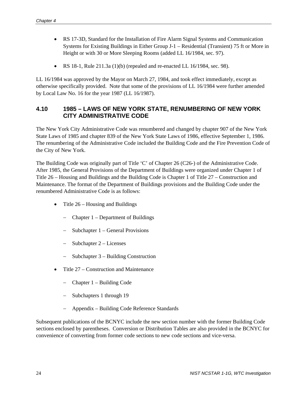- RS 17-3D, Standard for the Installation of Fire Alarm Signal Systems and Communication Systems for Existing Buildings in Either Group J-1 – Residential (Transient) 75 ft or More in Height or with 30 or More Sleeping Rooms (added LL 16/1984, sec. 97).
- RS 18-1, Rule 211.3a (1)(b) (repealed and re-enacted LL 16/1984, sec. 98).

LL 16/1984 was approved by the Mayor on March 27, 1984, and took effect immediately, except as otherwise specifically provided. Note that some of the provisions of LL 16/1984 were further amended by Local Law No. 16 for the year 1987 (LL 16/1987).

#### **4.10 1985 – LAWS OF NEW YORK STATE, RENUMBERING OF NEW YORK CITY ADMINISTRATIVE CODE**

The New York City Administrative Code was renumbered and changed by chapter 907 of the New York State Laws of 1985 and chapter 839 of the New York State Laws of 1986, effective September 1, 1986. The renumbering of the Administrative Code included the Building Code and the Fire Prevention Code of the City of New York.

The Building Code was originally part of Title 'C' of Chapter 26 (C26-) of the Administrative Code. After 1985, the General Provisions of the Department of Buildings were organized under Chapter 1 of Title 26 – Housing and Buildings and the Building Code is Chapter 1 of Title 27 – Construction and Maintenance. The format of the Department of Buildings provisions and the Building Code under the renumbered Administrative Code is as follows:

- Title 26 Housing and Buildings
	- − Chapter 1 Department of Buildings
	- − Subchapter 1 General Provisions
	- Subchapter  $2 -$  Licenses
	- − Subchapter 3 Building Construction
- Title 27 Construction and Maintenance
	- − Chapter 1 Building Code
	- Subchapters 1 through 19
	- − Appendix Building Code Reference Standards

Subsequent publications of the BCNYC include the new section number with the former Building Code sections enclosed by parentheses. Conversion or Distribution Tables are also provided in the BCNYC for convenience of converting from former code sections to new code sections and vice-versa.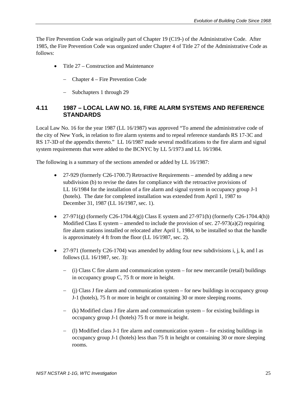The Fire Prevention Code was originally part of Chapter 19 (C19-) of the Administrative Code. After 1985, the Fire Prevention Code was organized under Chapter 4 of Title 27 of the Administrative Code as follows:

- Title 27 Construction and Maintenance
	- − Chapter 4 Fire Prevention Code
	- − Subchapters 1 through 29

#### **4.11 1987 – LOCAL LAW NO. 16, FIRE ALARM SYSTEMS AND REFERENCE STANDARDS**

Local Law No. 16 for the year 1987 (LL 16/1987) was approved "To amend the administrative code of the city of New York, in relation to fire alarm systems and to repeal reference standards RS 17-3C and RS 17-3D of the appendix thereto." LL 16/1987 made several modifications to the fire alarm and signal system requirements that were added to the BCNYC by LL 5/1973 and LL 16/1984.

The following is a summary of the sections amended or added by LL 16/1987:

- 27-929 (formerly C26-1700.7) Retroactive Requirements amended by adding a new subdivision (b) to revise the dates for compliance with the retroactive provisions of LL 16/1984 for the installation of a fire alarm and signal system in occupancy group J-1 (hotels). The date for completed installation was extended from April 1, 1987 to December 31, 1987 (LL 16/1987, sec. 1).
- 27-971(g) (formerly C26-1704.4(g)) Class E system and 27-971(h) (formerly C26-1704.4(h)) Modified Class E system – amended to include the provision of sec.  $27-973(a)(2)$  requiring fire alarm stations installed or relocated after April 1, 1984, to be installed so that the handle is approximately 4 ft from the floor (LL 16/1987, sec. 2).
- 27-971 (formerly C26-1704) was amended by adding four new subdivisions i, j, k, and l as follows (LL 16/1987, sec. 3):
	- − (i) Class C fire alarm and communication system for new mercantile (retail) buildings in occupancy group C, 75 ft or more in height.
	- − (j) Class J fire alarm and communication system for new buildings in occupancy group J-1 (hotels), 75 ft or more in height or containing 30 or more sleeping rooms.
	- − (k) Modified class J fire alarm and communication system for existing buildings in occupancy group J-1 (hotels) 75 ft or more in height.
	- − (l) Modified class J-1 fire alarm and communication system for existing buildings in occupancy group J-1 (hotels) less than 75 ft in height or containing 30 or more sleeping rooms.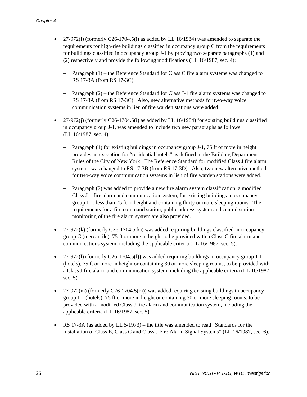- 27-972(i) (formerly C26-1704.5(i) as added by LL 16/1984) was amended to separate the requirements for high-rise buildings classified in occupancy group C from the requirements for buildings classified in occupancy group J-1 by proving two separate paragraphs (1) and (2) respectively and provide the following modifications (LL 16/1987, sec. 4):
	- Paragraph (1) the Reference Standard for Class C fire alarm systems was changed to RS 17-3A (from RS 17-3C).
	- Paragraph (2) the Reference Standard for Class J-1 fire alarm systems was changed to RS 17-3A (from RS 17-3C). Also, new alternative methods for two-way voice communication systems in lieu of fire warden stations were added.
- 27-972(j) (formerly C26-1704.5(i) as added by LL 16/1984) for existing buildings classified in occupancy group J-1, was amended to include two new paragraphs as follows (LL 16/1987, sec. 4):
	- Paragraph (1) for existing buildings in occupancy group J-1, 75 ft or more in height provides an exception for "residential hotels" as defined in the Building Department Rules of the City of New York. The Reference Standard for modified Class J fire alarm systems was changed to RS 17-3B (from RS 17-3D). Also, two new alternative methods for two-way voice communication systems in lieu of fire warden stations were added.
	- − Paragraph (2) was added to provide a new fire alarm system classification, a modified Class J-1 fire alarm and communication system, for existing buildings in occupancy group J-1, less than 75 ft in height and containing thirty or more sleeping rooms. The requirements for a fire command station, public address system and central station monitoring of the fire alarm system are also provided.
- 27-972(k) (formerly C26-1704.5(k)) was added requiring buildings classified in occupancy group C (mercantile), 75 ft or more in height to be provided with a Class C fire alarm and communications system, including the applicable criteria (LL 16/1987, sec. 5).
- 27-972(1) (formerly C26-1704.5(1)) was added requiring buildings in occupancy group J-1 (hotels), 75 ft or more in height or containing 30 or more sleeping rooms, to be provided with a Class J fire alarm and communication system, including the applicable criteria (LL 16/1987, sec. 5).
- 27-972(m) (formerly C26-1704.5(m)) was added requiring existing buildings in occupancy group J-1 (hotels), 75 ft or more in height or containing 30 or more sleeping rooms, to be provided with a modified Class J fire alarm and communication system, including the applicable criteria (LL 16/1987, sec. 5).
- RS 17-3A (as added by LL 5/1973) the title was amended to read "Standards for the Installation of Class E, Class C and Class J Fire Alarm Signal Systems" (LL 16/1987, sec. 6).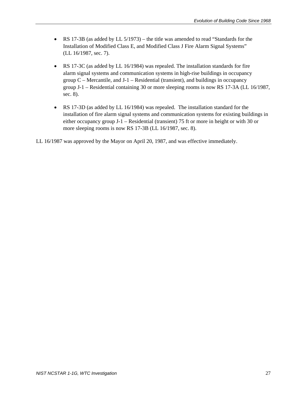- RS 17-3B (as added by LL 5/1973) the title was amended to read "Standards for the Installation of Modified Class E, and Modified Class J Fire Alarm Signal Systems" (LL 16/1987, sec. 7).
- RS 17-3C (as added by LL 16/1984) was repealed. The installation standards for fire alarm signal systems and communication systems in high-rise buildings in occupancy group  $C$  – Mercantile, and J-1 – Residential (transient), and buildings in occupancy group J-1 – Residential containing 30 or more sleeping rooms is now RS 17-3A (LL 16/1987, sec. 8).
- RS 17-3D (as added by LL 16/1984) was repealed. The installation standard for the installation of fire alarm signal systems and communication systems for existing buildings in either occupancy group J-1 – Residential (transient) 75 ft or more in height or with 30 or more sleeping rooms is now RS 17-3B (LL 16/1987, sec. 8).

LL 16/1987 was approved by the Mayor on April 20, 1987, and was effective immediately.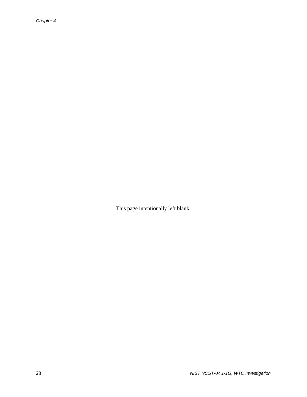This page intentionally left blank.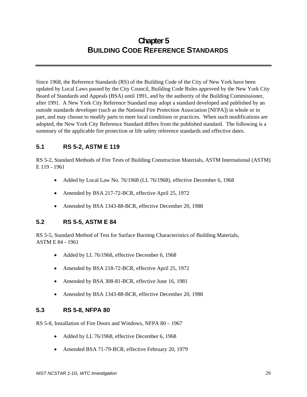### **Chapter 5 BUILDING CODE REFERENCE STANDARDS**

Since 1968, the Reference Standards (RS) of the Building Code of the City of New York have been updated by Local Laws passed by the City Council, Building Code Rules approved by the New York City Board of Standards and Appeals (BSA) until 1991, and by the authority of the Building Commissioner, after 1991. A New York City Reference Standard may adopt a standard developed and published by an outside standards developer (such as the National Fire Protection Association [NFPA]) in whole or in part, and may choose to modify parts to meet local conditions or practices. When such modifications are adopted, the New York City Reference Standard differs from the published standard. The following is a summary of the applicable fire protection or life safety reference standards and effective dates.

### **5.1 RS 5-2, ASTM E 119**

RS 5-2, Standard Methods of Fire Tests of Building Construction Materials, ASTM International (ASTM) E 119 - 1961

- Added by Local Law No. 76/1968 (LL 76/1968), effective December 6, 1968
- Amended by BSA 217-72-BCR, effective April 25, 1972
- Amended by BSA 1343-88-BCR, effective December 20, 1988

### **5.2 RS 5-5, ASTM E 84**

RS 5-5, Standard Method of Test for Surface Burning Characteristics of Building Materials, ASTM E 84 - 1961

- Added by LL 76/1968, effective December 6, 1968
- Amended by BSA 218-72-BCR, effective April 25, 1972
- Amended by BSA 308-81-BCR, effective June 16, 1981
- Amended by BSA 1343-88-BCR, effective December 20, 1988

#### **5.3 RS 5-8, NFPA 80**

RS 5-8, Installation of Fire Doors and Windows, NFPA 80 – 1967

- Added by LL 76/1968, effective December 6, 1968
- Amended BSA 71-79-BCR, effective February 20, 1979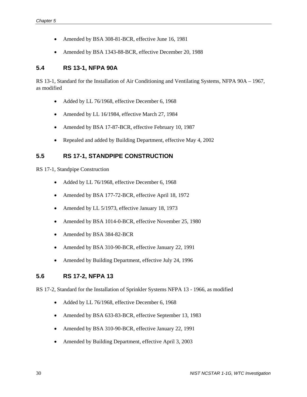- Amended by BSA 308-81-BCR, effective June 16, 1981
- Amended by BSA 1343-88-BCR, effective December 20, 1988

#### **5.4 RS 13-1, NFPA 90A**

RS 13-1, Standard for the Installation of Air Conditioning and Ventilating Systems, NFPA 90A – 1967, as modified

- Added by LL 76/1968, effective December 6, 1968
- Amended by LL 16/1984, effective March 27, 1984
- Amended by BSA 17-87-BCR, effective February 10, 1987
- Repealed and added by Building Department, effective May 4, 2002

### **5.5 RS 17-1, STANDPIPE CONSTRUCTION**

RS 17-1, Standpipe Construction

- Added by LL 76/1968, effective December 6, 1968
- Amended by BSA 177-72-BCR, effective April 18, 1972
- Amended by LL 5/1973, effective January 18, 1973
- Amended by BSA 1014-0-BCR, effective November 25, 1980
- Amended by BSA 384-82-BCR
- Amended by BSA 310-90-BCR, effective January 22, 1991
- Amended by Building Department, effective July 24, 1996

### **5.6 RS 17-2, NFPA 13**

RS 17-2, Standard for the Installation of Sprinkler Systems NFPA 13 - 1966, as modified

- Added by LL 76/1968, effective December 6, 1968
- Amended by BSA 633-83-BCR, effective September 13, 1983
- Amended by BSA 310-90-BCR, effective January 22, 1991
- Amended by Building Department, effective April 3, 2003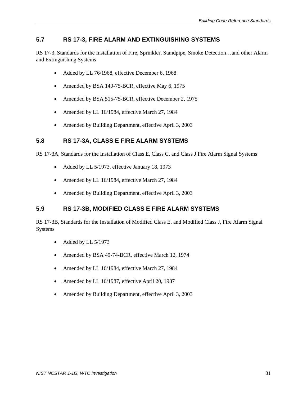### **5.7 RS 17-3, FIRE ALARM AND EXTINGUISHING SYSTEMS**

RS 17-3, Standards for the Installation of Fire, Sprinkler, Standpipe, Smoke Detection…and other Alarm and Extinguishing Systems

- Added by LL 76/1968, effective December 6, 1968
- Amended by BSA 149-75-BCR, effective May 6, 1975
- Amended by BSA 515-75-BCR, effective December 2, 1975
- Amended by LL 16/1984, effective March 27, 1984
- Amended by Building Department, effective April 3, 2003

#### **5.8 RS 17-3A, CLASS E FIRE ALARM SYSTEMS**

RS 17-3A, Standards for the Installation of Class E, Class C, and Class J Fire Alarm Signal Systems

- Added by LL 5/1973, effective January 18, 1973
- Amended by LL 16/1984, effective March 27, 1984
- Amended by Building Department, effective April 3, 2003

### **5.9 RS 17-3B, MODIFIED CLASS E FIRE ALARM SYSTEMS**

RS 17-3B, Standards for the Installation of Modified Class E, and Modified Class J, Fire Alarm Signal Systems

- Added by LL 5/1973
- Amended by BSA 49-74-BCR, effective March 12, 1974
- Amended by LL 16/1984, effective March 27, 1984
- Amended by LL 16/1987, effective April 20, 1987
- Amended by Building Department, effective April 3, 2003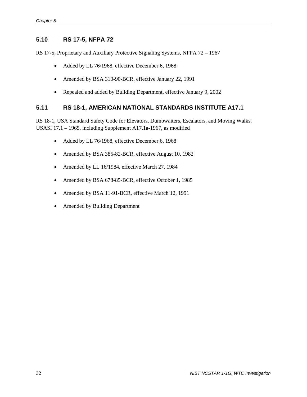### **5.10 RS 17-5, NFPA 72**

RS 17-5, Proprietary and Auxiliary Protective Signaling Systems, NFPA 72 – 1967

- Added by LL 76/1968, effective December 6, 1968
- Amended by BSA 310-90-BCR, effective January 22, 1991
- Repealed and added by Building Department, effective January 9, 2002

#### **5.11 RS 18-1, AMERICAN NATIONAL STANDARDS INSTITUTE A17.1**

RS 18-1, USA Standard Safety Code for Elevators, Dumbwaiters, Escalators, and Moving Walks, USASI 17.1 – 1965, including Supplement A17.1a-1967, as modified

- Added by LL 76/1968, effective December 6, 1968
- Amended by BSA 385-82-BCR, effective August 10, 1982
- Amended by LL 16/1984, effective March 27, 1984
- Amended by BSA 678-85-BCR, effective October 1, 1985
- Amended by BSA 11-91-BCR, effective March 12, 1991
- Amended by Building Department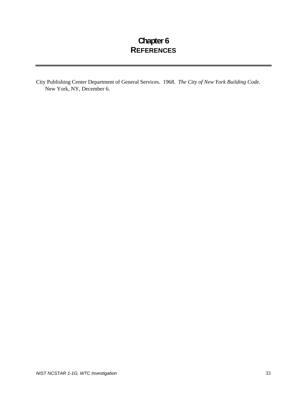## **Chapter 6 REFERENCES**

City Publishing Center Department of General Services. 1968. *The City of New York Building Code.*  New York, NY, December 6.